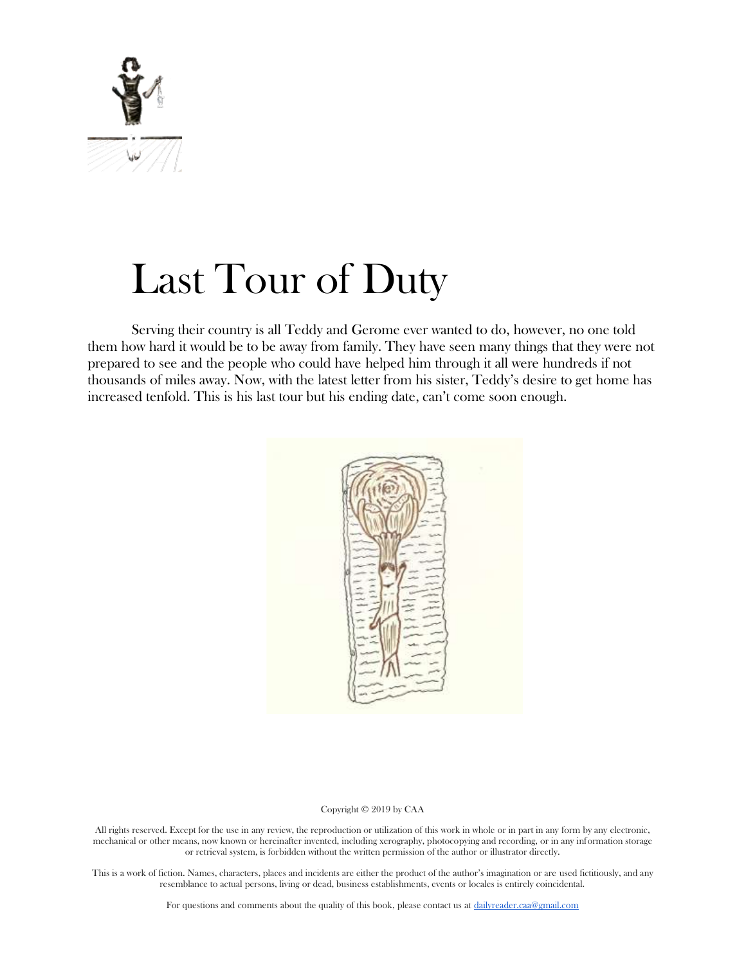

# Last Tour of Duty

Serving their country is all Teddy and Gerome ever wanted to do, however, no one told them how hard it would be to be away from family. They have seen many things that they were not prepared to see and the people who could have helped him through it all were hundreds if not thousands of miles away. Now, with the latest letter from his sister, Teddy's desire to get home has increased tenfold. This is his last tour but his ending date, can't come soon enough.



#### Copyright © 2019 by CAA

All rights reserved. Except for the use in any review, the reproduction or utilization of this work in whole or in part in any form by any electronic, mechanical or other means, now known or hereinafter invented, including xerography, photocopying and recording, or in any information storage or retrieval system, is forbidden without the written permission of the author or illustrator directly.

This is a work of fiction. Names, characters, places and incidents are either the product of the author's imagination or are used fictitiously, and any resemblance to actual persons, living or dead, business establishments, events or locales is entirely coincidental.

For questions and comments about the quality of this book, please contact us at [dailyreader.caa@gmail.com](mailto:dailyreader.caa@gmail.com)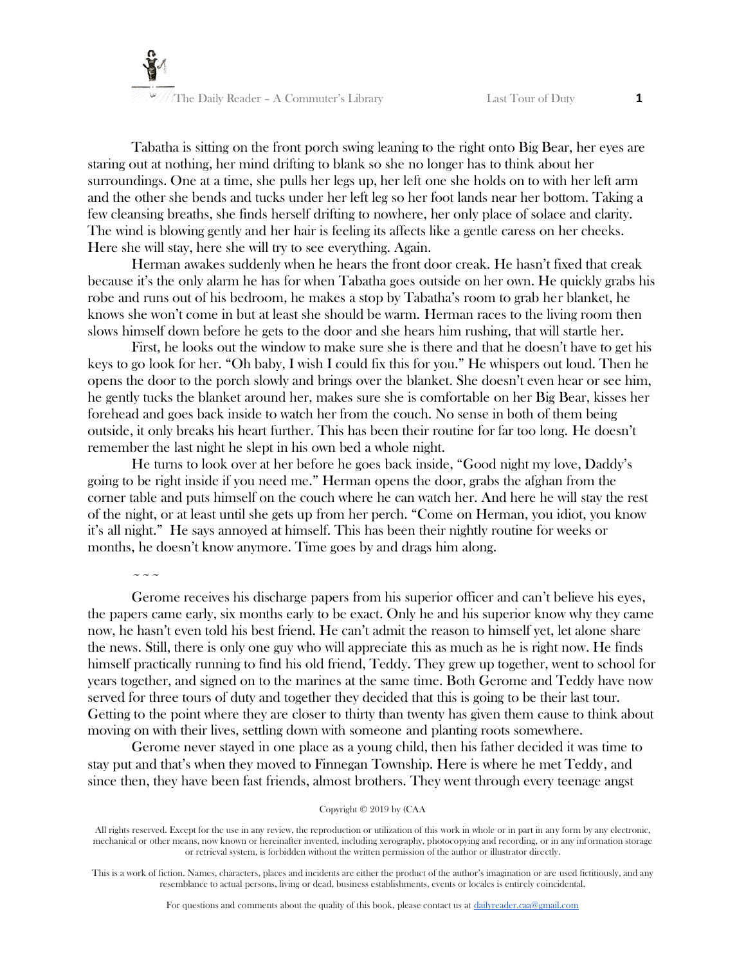

Tabatha is sitting on the front porch swing leaning to the right onto Big Bear, her eyes are staring out at nothing, her mind drifting to blank so she no longer has to think about her surroundings. One at a time, she pulls her legs up, her left one she holds on to with her left arm and the other she bends and tucks under her left leg so her foot lands near her bottom. Taking a few cleansing breaths, she finds herself drifting to nowhere, her only place of solace and clarity. The wind is blowing gently and her hair is feeling its affects like a gentle caress on her cheeks. Here she will stay, here she will try to see everything. Again.

Herman awakes suddenly when he hears the front door creak. He hasn't fixed that creak because it's the only alarm he has for when Tabatha goes outside on her own. He quickly grabs his robe and runs out of his bedroom, he makes a stop by Tabatha's room to grab her blanket, he knows she won't come in but at least she should be warm. Herman races to the living room then slows himself down before he gets to the door and she hears him rushing, that will startle her.

First, he looks out the window to make sure she is there and that he doesn't have to get his keys to go look for her. "Oh baby, I wish I could fix this for you." He whispers out loud. Then he opens the door to the porch slowly and brings over the blanket. She doesn't even hear or see him, he gently tucks the blanket around her, makes sure she is comfortable on her Big Bear, kisses her forehead and goes back inside to watch her from the couch. No sense in both of them being outside, it only breaks his heart further. This has been their routine for far too long. He doesn't remember the last night he slept in his own bed a whole night.

He turns to look over at her before he goes back inside, "Good night my love, Daddy's going to be right inside if you need me." Herman opens the door, grabs the afghan from the corner table and puts himself on the couch where he can watch her. And here he will stay the rest of the night, or at least until she gets up from her perch. "Come on Herman, you idiot, you know it's all night." He says annoyed at himself. This has been their nightly routine for weeks or months, he doesn't know anymore. Time goes by and drags him along.

# $\sim$   $\sim$   $\sim$

Gerome receives his discharge papers from his superior officer and can't believe his eyes, the papers came early, six months early to be exact. Only he and his superior know why they came now, he hasn't even told his best friend. He can't admit the reason to himself yet, let alone share the news. Still, there is only one guy who will appreciate this as much as he is right now. He finds himself practically running to find his old friend, Teddy. They grew up together, went to school for years together, and signed on to the marines at the same time. Both Gerome and Teddy have now served for three tours of duty and together they decided that this is going to be their last tour. Getting to the point where they are closer to thirty than twenty has given them cause to think about moving on with their lives, settling down with someone and planting roots somewhere.

Gerome never stayed in one place as a young child, then his father decided it was time to stay put and that's when they moved to Finnegan Township. Here is where he met Teddy, and since then, they have been fast friends, almost brothers. They went through every teenage angst

#### Copyright © 2019 by (CAA

All rights reserved. Except for the use in any review, the reproduction or utilization of this work in whole or in part in any form by any electronic, mechanical or other means, now known or hereinafter invented, including xerography, photocopying and recording, or in any information storage or retrieval system, is forbidden without the written permission of the author or illustrator directly.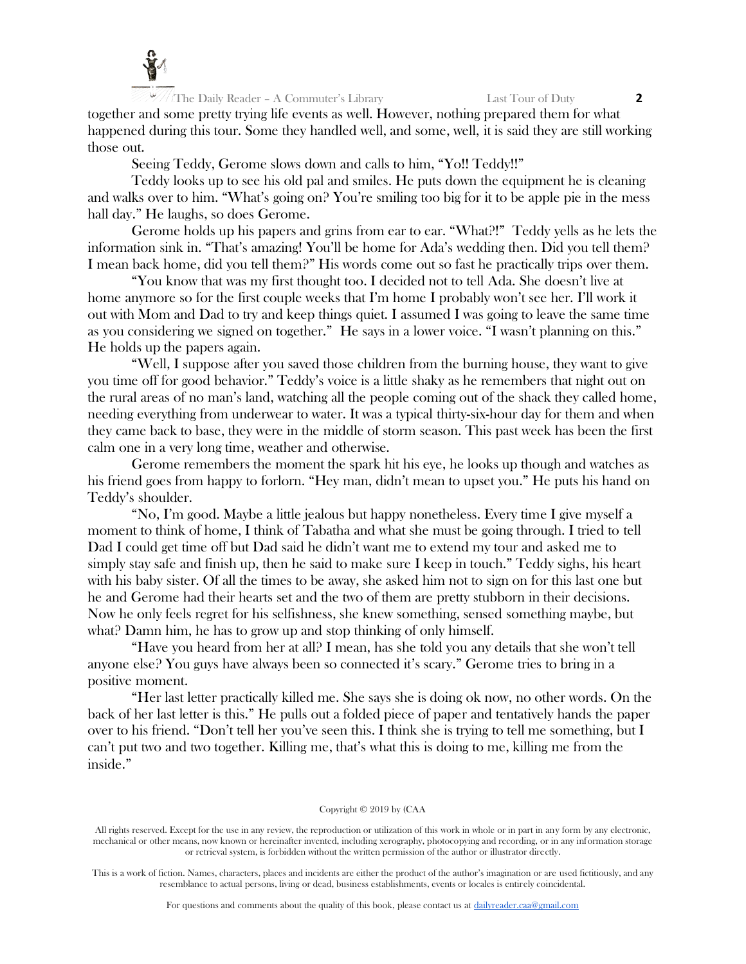

The Daily Reader – A Commuter's Library Last Tour of Duty **2** together and some pretty trying life events as well. However, nothing prepared them for what happened during this tour. Some they handled well, and some, well, it is said they are still working those out.

Seeing Teddy, Gerome slows down and calls to him, "Yo!! Teddy!!"

Teddy looks up to see his old pal and smiles. He puts down the equipment he is cleaning and walks over to him. "What's going on? You're smiling too big for it to be apple pie in the mess hall day." He laughs, so does Gerome.

Gerome holds up his papers and grins from ear to ear. "What?!" Teddy yells as he lets the information sink in. "That's amazing! You'll be home for Ada's wedding then. Did you tell them? I mean back home, did you tell them?" His words come out so fast he practically trips over them.

"You know that was my first thought too. I decided not to tell Ada. She doesn't live at home anymore so for the first couple weeks that I'm home I probably won't see her. I'll work it out with Mom and Dad to try and keep things quiet. I assumed I was going to leave the same time as you considering we signed on together." He says in a lower voice. "I wasn't planning on this." He holds up the papers again.

"Well, I suppose after you saved those children from the burning house, they want to give you time off for good behavior." Teddy's voice is a little shaky as he remembers that night out on the rural areas of no man's land, watching all the people coming out of the shack they called home, needing everything from underwear to water. It was a typical thirty-six-hour day for them and when they came back to base, they were in the middle of storm season. This past week has been the first calm one in a very long time, weather and otherwise.

Gerome remembers the moment the spark hit his eye, he looks up though and watches as his friend goes from happy to forlorn. "Hey man, didn't mean to upset you." He puts his hand on Teddy's shoulder.

"No, I'm good. Maybe a little jealous but happy nonetheless. Every time I give myself a moment to think of home, I think of Tabatha and what she must be going through. I tried to tell Dad I could get time off but Dad said he didn't want me to extend my tour and asked me to simply stay safe and finish up, then he said to make sure I keep in touch." Teddy sighs, his heart with his baby sister. Of all the times to be away, she asked him not to sign on for this last one but he and Gerome had their hearts set and the two of them are pretty stubborn in their decisions. Now he only feels regret for his selfishness, she knew something, sensed something maybe, but what? Damn him, he has to grow up and stop thinking of only himself.

"Have you heard from her at all? I mean, has she told you any details that she won't tell anyone else? You guys have always been so connected it's scary." Gerome tries to bring in a positive moment.

"Her last letter practically killed me. She says she is doing ok now, no other words. On the back of her last letter is this." He pulls out a folded piece of paper and tentatively hands the paper over to his friend. "Don't tell her you've seen this. I think she is trying to tell me something, but I can't put two and two together. Killing me, that's what this is doing to me, killing me from the inside."

## Copyright © 2019 by (CAA

All rights reserved. Except for the use in any review, the reproduction or utilization of this work in whole or in part in any form by any electronic, mechanical or other means, now known or hereinafter invented, including xerography, photocopying and recording, or in any information storage or retrieval system, is forbidden without the written permission of the author or illustrator directly.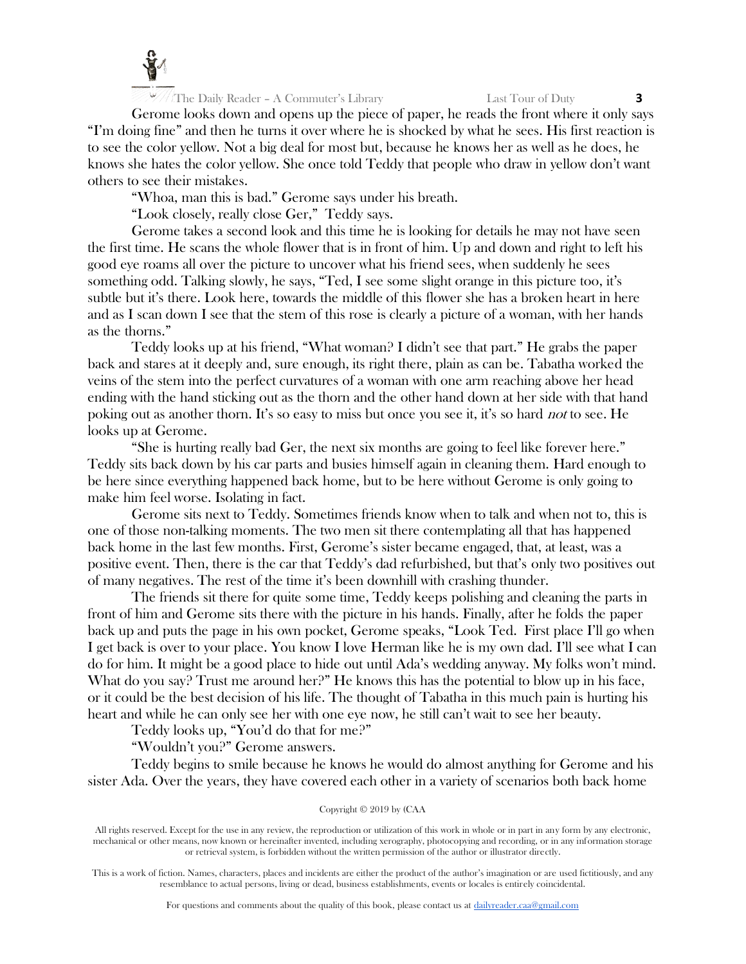

Gerome looks down and opens up the piece of paper, he reads the front where it only says "I'm doing fine" and then he turns it over where he is shocked by what he sees. His first reaction is to see the color yellow. Not a big deal for most but, because he knows her as well as he does, he knows she hates the color yellow. She once told Teddy that people who draw in yellow don't want others to see their mistakes.

"Whoa, man this is bad." Gerome says under his breath.

"Look closely, really close Ger," Teddy says.

Gerome takes a second look and this time he is looking for details he may not have seen the first time. He scans the whole flower that is in front of him. Up and down and right to left his good eye roams all over the picture to uncover what his friend sees, when suddenly he sees something odd. Talking slowly, he says, "Ted, I see some slight orange in this picture too, it's subtle but it's there. Look here, towards the middle of this flower she has a broken heart in here and as I scan down I see that the stem of this rose is clearly a picture of a woman, with her hands as the thorns."

Teddy looks up at his friend, "What woman? I didn't see that part." He grabs the paper back and stares at it deeply and, sure enough, its right there, plain as can be. Tabatha worked the veins of the stem into the perfect curvatures of a woman with one arm reaching above her head ending with the hand sticking out as the thorn and the other hand down at her side with that hand poking out as another thorn. It's so easy to miss but once you see it, it's so hard not to see. He looks up at Gerome.

"She is hurting really bad Ger, the next six months are going to feel like forever here." Teddy sits back down by his car parts and busies himself again in cleaning them. Hard enough to be here since everything happened back home, but to be here without Gerome is only going to make him feel worse. Isolating in fact.

Gerome sits next to Teddy. Sometimes friends know when to talk and when not to, this is one of those non-talking moments. The two men sit there contemplating all that has happened back home in the last few months. First, Gerome's sister became engaged, that, at least, was a positive event. Then, there is the car that Teddy's dad refurbished, but that's only two positives out of many negatives. The rest of the time it's been downhill with crashing thunder.

The friends sit there for quite some time, Teddy keeps polishing and cleaning the parts in front of him and Gerome sits there with the picture in his hands. Finally, after he folds the paper back up and puts the page in his own pocket, Gerome speaks, "Look Ted. First place I'll go when I get back is over to your place. You know I love Herman like he is my own dad. I'll see what I can do for him. It might be a good place to hide out until Ada's wedding anyway. My folks won't mind. What do you say? Trust me around her?" He knows this has the potential to blow up in his face, or it could be the best decision of his life. The thought of Tabatha in this much pain is hurting his heart and while he can only see her with one eye now, he still can't wait to see her beauty.

Teddy looks up, "You'd do that for me?"

"Wouldn't you?" Gerome answers.

Teddy begins to smile because he knows he would do almost anything for Gerome and his sister Ada. Over the years, they have covered each other in a variety of scenarios both back home

Copyright © 2019 by (CAA

All rights reserved. Except for the use in any review, the reproduction or utilization of this work in whole or in part in any form by any electronic, mechanical or other means, now known or hereinafter invented, including xerography, photocopying and recording, or in any information storage or retrieval system, is forbidden without the written permission of the author or illustrator directly.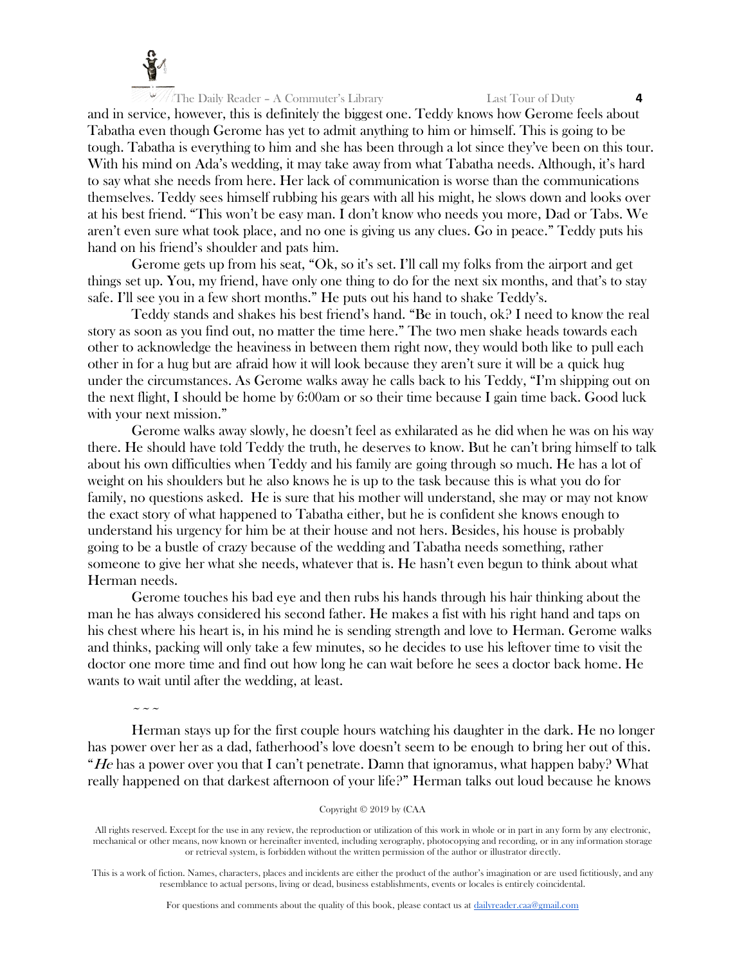

and in service, however, this is definitely the biggest one. Teddy knows how Gerome feels about Tabatha even though Gerome has yet to admit anything to him or himself. This is going to be tough. Tabatha is everything to him and she has been through a lot since they've been on this tour. With his mind on Ada's wedding, it may take away from what Tabatha needs. Although, it's hard to say what she needs from here. Her lack of communication is worse than the communications themselves. Teddy sees himself rubbing his gears with all his might, he slows down and looks over at his best friend. "This won't be easy man. I don't know who needs you more, Dad or Tabs. We aren't even sure what took place, and no one is giving us any clues. Go in peace." Teddy puts his hand on his friend's shoulder and pats him.

Gerome gets up from his seat, "Ok, so it's set. I'll call my folks from the airport and get things set up. You, my friend, have only one thing to do for the next six months, and that's to stay safe. I'll see you in a few short months." He puts out his hand to shake Teddy's.

Teddy stands and shakes his best friend's hand. "Be in touch, ok? I need to know the real story as soon as you find out, no matter the time here." The two men shake heads towards each other to acknowledge the heaviness in between them right now, they would both like to pull each other in for a hug but are afraid how it will look because they aren't sure it will be a quick hug under the circumstances. As Gerome walks away he calls back to his Teddy, "I'm shipping out on the next flight, I should be home by 6:00am or so their time because I gain time back. Good luck with your next mission."

Gerome walks away slowly, he doesn't feel as exhilarated as he did when he was on his way there. He should have told Teddy the truth, he deserves to know. But he can't bring himself to talk about his own difficulties when Teddy and his family are going through so much. He has a lot of weight on his shoulders but he also knows he is up to the task because this is what you do for family, no questions asked. He is sure that his mother will understand, she may or may not know the exact story of what happened to Tabatha either, but he is confident she knows enough to understand his urgency for him be at their house and not hers. Besides, his house is probably going to be a bustle of crazy because of the wedding and Tabatha needs something, rather someone to give her what she needs, whatever that is. He hasn't even begun to think about what Herman needs.

Gerome touches his bad eye and then rubs his hands through his hair thinking about the man he has always considered his second father. He makes a fist with his right hand and taps on his chest where his heart is, in his mind he is sending strength and love to Herman. Gerome walks and thinks, packing will only take a few minutes, so he decides to use his leftover time to visit the doctor one more time and find out how long he can wait before he sees a doctor back home. He wants to wait until after the wedding, at least.

 $\sim$   $\sim$   $\sim$ 

Herman stays up for the first couple hours watching his daughter in the dark. He no longer has power over her as a dad, fatherhood's love doesn't seem to be enough to bring her out of this. "He has a power over you that I can't penetrate. Damn that ignoramus, what happen baby? What really happened on that darkest afternoon of your life?" Herman talks out loud because he knows

Copyright © 2019 by (CAA

All rights reserved. Except for the use in any review, the reproduction or utilization of this work in whole or in part in any form by any electronic, mechanical or other means, now known or hereinafter invented, including xerography, photocopying and recording, or in any information storage or retrieval system, is forbidden without the written permission of the author or illustrator directly.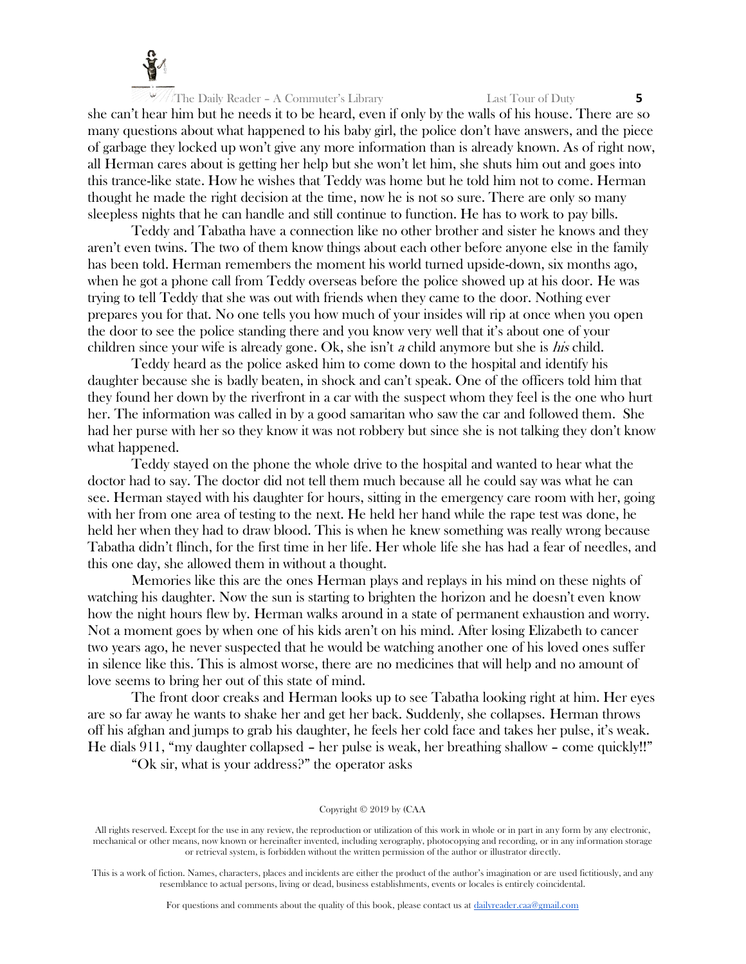

she can't hear him but he needs it to be heard, even if only by the walls of his house. There are so many questions about what happened to his baby girl, the police don't have answers, and the piece of garbage they locked up won't give any more information than is already known. As of right now, all Herman cares about is getting her help but she won't let him, she shuts him out and goes into this trance-like state. How he wishes that Teddy was home but he told him not to come. Herman thought he made the right decision at the time, now he is not so sure. There are only so many sleepless nights that he can handle and still continue to function. He has to work to pay bills.

Teddy and Tabatha have a connection like no other brother and sister he knows and they aren't even twins. The two of them know things about each other before anyone else in the family has been told. Herman remembers the moment his world turned upside-down, six months ago, when he got a phone call from Teddy overseas before the police showed up at his door. He was trying to tell Teddy that she was out with friends when they came to the door. Nothing ever prepares you for that. No one tells you how much of your insides will rip at once when you open the door to see the police standing there and you know very well that it's about one of your children since your wife is already gone. Ok, she isn't a child anymore but she is his child.

Teddy heard as the police asked him to come down to the hospital and identify his daughter because she is badly beaten, in shock and can't speak. One of the officers told him that they found her down by the riverfront in a car with the suspect whom they feel is the one who hurt her. The information was called in by a good samaritan who saw the car and followed them. She had her purse with her so they know it was not robbery but since she is not talking they don't know what happened.

Teddy stayed on the phone the whole drive to the hospital and wanted to hear what the doctor had to say. The doctor did not tell them much because all he could say was what he can see. Herman stayed with his daughter for hours, sitting in the emergency care room with her, going with her from one area of testing to the next. He held her hand while the rape test was done, he held her when they had to draw blood. This is when he knew something was really wrong because Tabatha didn't flinch, for the first time in her life. Her whole life she has had a fear of needles, and this one day, she allowed them in without a thought.

Memories like this are the ones Herman plays and replays in his mind on these nights of watching his daughter. Now the sun is starting to brighten the horizon and he doesn't even know how the night hours flew by. Herman walks around in a state of permanent exhaustion and worry. Not a moment goes by when one of his kids aren't on his mind. After losing Elizabeth to cancer two years ago, he never suspected that he would be watching another one of his loved ones suffer in silence like this. This is almost worse, there are no medicines that will help and no amount of love seems to bring her out of this state of mind.

The front door creaks and Herman looks up to see Tabatha looking right at him. Her eyes are so far away he wants to shake her and get her back. Suddenly, she collapses. Herman throws off his afghan and jumps to grab his daughter, he feels her cold face and takes her pulse, it's weak. He dials 911, "my daughter collapsed – her pulse is weak, her breathing shallow – come quickly!!"

"Ok sir, what is your address?" the operator asks

Copyright © 2019 by (CAA

All rights reserved. Except for the use in any review, the reproduction or utilization of this work in whole or in part in any form by any electronic, mechanical or other means, now known or hereinafter invented, including xerography, photocopying and recording, or in any information storage or retrieval system, is forbidden without the written permission of the author or illustrator directly.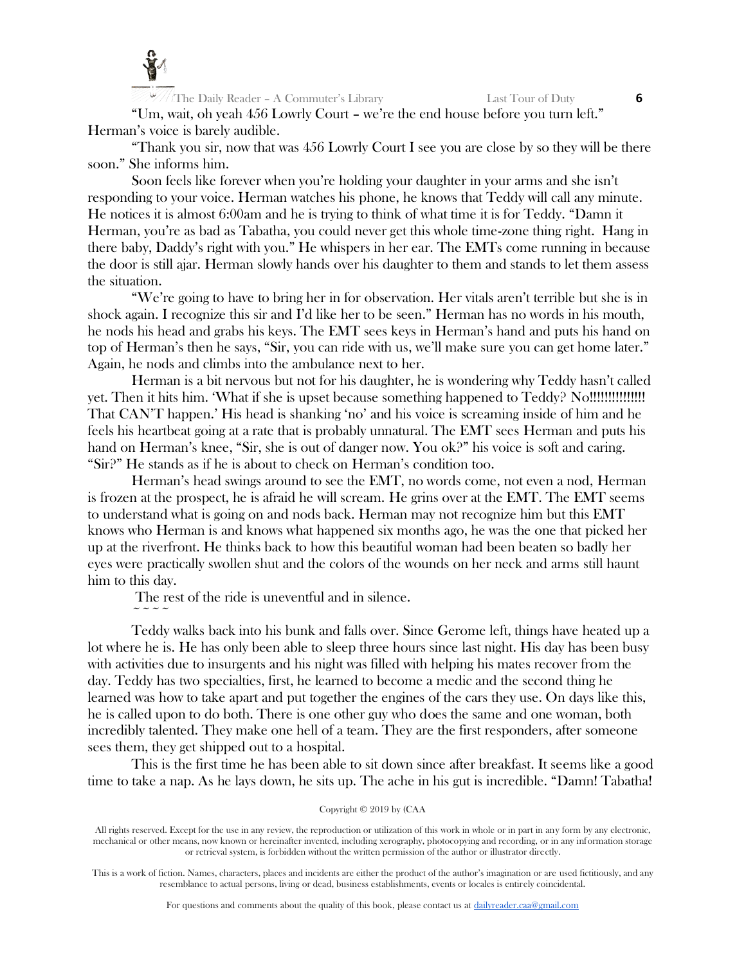

 $\sim$   $\sim$   $\sim$   $\sim$ 

The Daily Reader – A Commuter's Library Last Tour of Duty **6**

"Um, wait, oh yeah 456 Lowrly Court – we're the end house before you turn left." Herman's voice is barely audible.

"Thank you sir, now that was 456 Lowrly Court I see you are close by so they will be there soon." She informs him.

Soon feels like forever when you're holding your daughter in your arms and she isn't responding to your voice. Herman watches his phone, he knows that Teddy will call any minute. He notices it is almost 6:00am and he is trying to think of what time it is for Teddy. "Damn it Herman, you're as bad as Tabatha, you could never get this whole time-zone thing right. Hang in there baby, Daddy's right with you." He whispers in her ear. The EMTs come running in because the door is still ajar. Herman slowly hands over his daughter to them and stands to let them assess the situation.

"We're going to have to bring her in for observation. Her vitals aren't terrible but she is in shock again. I recognize this sir and I'd like her to be seen." Herman has no words in his mouth, he nods his head and grabs his keys. The EMT sees keys in Herman's hand and puts his hand on top of Herman's then he says, "Sir, you can ride with us, we'll make sure you can get home later." Again, he nods and climbs into the ambulance next to her.

Herman is a bit nervous but not for his daughter, he is wondering why Teddy hasn't called yet. Then it hits him. 'What if she is upset because something happened to Teddy? No!!!!!!!!!!!!!!! That CAN'T happen.' His head is shanking 'no' and his voice is screaming inside of him and he feels his heartbeat going at a rate that is probably unnatural. The EMT sees Herman and puts his hand on Herman's knee, "Sir, she is out of danger now. You ok?" his voice is soft and caring. "Sir?" He stands as if he is about to check on Herman's condition too.

Herman's head swings around to see the EMT, no words come, not even a nod, Herman is frozen at the prospect, he is afraid he will scream. He grins over at the EMT. The EMT seems to understand what is going on and nods back. Herman may not recognize him but this EMT knows who Herman is and knows what happened six months ago, he was the one that picked her up at the riverfront. He thinks back to how this beautiful woman had been beaten so badly her eyes were practically swollen shut and the colors of the wounds on her neck and arms still haunt him to this day.

The rest of the ride is uneventful and in silence.

Teddy walks back into his bunk and falls over. Since Gerome left, things have heated up a lot where he is. He has only been able to sleep three hours since last night. His day has been busy with activities due to insurgents and his night was filled with helping his mates recover from the day. Teddy has two specialties, first, he learned to become a medic and the second thing he learned was how to take apart and put together the engines of the cars they use. On days like this, he is called upon to do both. There is one other guy who does the same and one woman, both incredibly talented. They make one hell of a team. They are the first responders, after someone sees them, they get shipped out to a hospital.

This is the first time he has been able to sit down since after breakfast. It seems like a good time to take a nap. As he lays down, he sits up. The ache in his gut is incredible. "Damn! Tabatha!

Copyright © 2019 by (CAA

All rights reserved. Except for the use in any review, the reproduction or utilization of this work in whole or in part in any form by any electronic, mechanical or other means, now known or hereinafter invented, including xerography, photocopying and recording, or in any information storage or retrieval system, is forbidden without the written permission of the author or illustrator directly.

This is a work of fiction. Names, characters, places and incidents are either the product of the author's imagination or are used fictitiously, and any resemblance to actual persons, living or dead, business establishments, events or locales is entirely coincidental.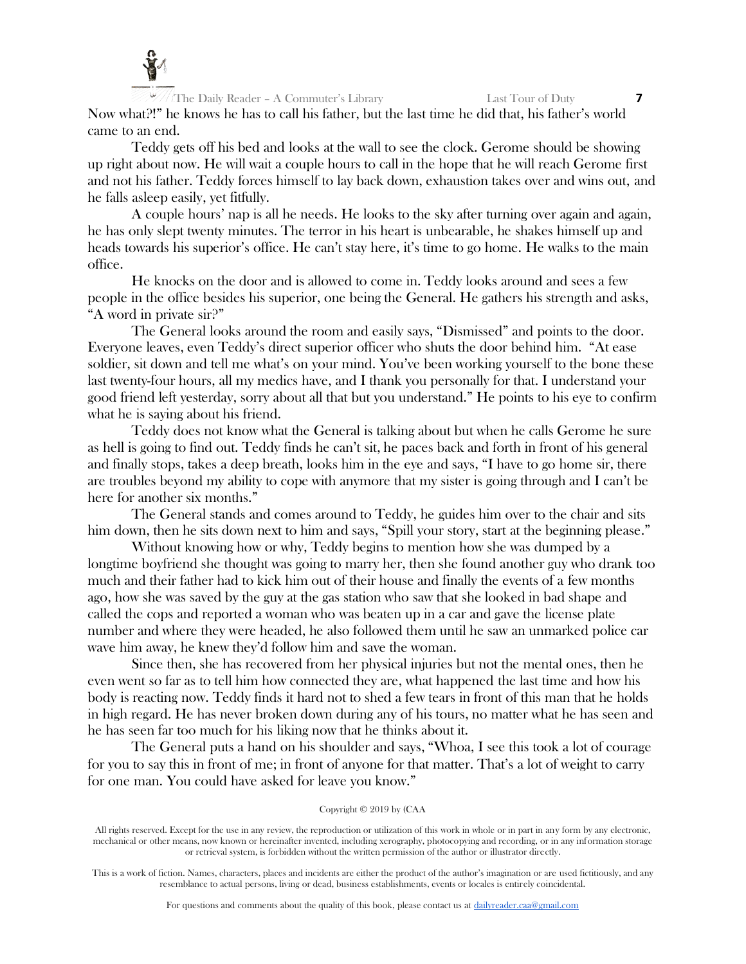

The Daily Reader – A Commuter's Library Last Tour of Duty **7** Now what?!" he knows he has to call his father, but the last time he did that, his father's world came to an end.

Teddy gets off his bed and looks at the wall to see the clock. Gerome should be showing up right about now. He will wait a couple hours to call in the hope that he will reach Gerome first and not his father. Teddy forces himself to lay back down, exhaustion takes over and wins out, and he falls asleep easily, yet fitfully.

A couple hours' nap is all he needs. He looks to the sky after turning over again and again, he has only slept twenty minutes. The terror in his heart is unbearable, he shakes himself up and heads towards his superior's office. He can't stay here, it's time to go home. He walks to the main office.

He knocks on the door and is allowed to come in. Teddy looks around and sees a few people in the office besides his superior, one being the General. He gathers his strength and asks, "A word in private sir?"

The General looks around the room and easily says, "Dismissed" and points to the door. Everyone leaves, even Teddy's direct superior officer who shuts the door behind him. "At ease soldier, sit down and tell me what's on your mind. You've been working yourself to the bone these last twenty-four hours, all my medics have, and I thank you personally for that. I understand your good friend left yesterday, sorry about all that but you understand." He points to his eye to confirm what he is saying about his friend.

Teddy does not know what the General is talking about but when he calls Gerome he sure as hell is going to find out. Teddy finds he can't sit, he paces back and forth in front of his general and finally stops, takes a deep breath, looks him in the eye and says, "I have to go home sir, there are troubles beyond my ability to cope with anymore that my sister is going through and I can't be here for another six months."

The General stands and comes around to Teddy, he guides him over to the chair and sits him down, then he sits down next to him and says, "Spill your story, start at the beginning please."

Without knowing how or why, Teddy begins to mention how she was dumped by a longtime boyfriend she thought was going to marry her, then she found another guy who drank too much and their father had to kick him out of their house and finally the events of a few months ago, how she was saved by the guy at the gas station who saw that she looked in bad shape and called the cops and reported a woman who was beaten up in a car and gave the license plate number and where they were headed, he also followed them until he saw an unmarked police car wave him away, he knew they'd follow him and save the woman.

Since then, she has recovered from her physical injuries but not the mental ones, then he even went so far as to tell him how connected they are, what happened the last time and how his body is reacting now. Teddy finds it hard not to shed a few tears in front of this man that he holds in high regard. He has never broken down during any of his tours, no matter what he has seen and he has seen far too much for his liking now that he thinks about it.

The General puts a hand on his shoulder and says, "Whoa, I see this took a lot of courage for you to say this in front of me; in front of anyone for that matter. That's a lot of weight to carry for one man. You could have asked for leave you know."

## Copyright © 2019 by (CAA

All rights reserved. Except for the use in any review, the reproduction or utilization of this work in whole or in part in any form by any electronic, mechanical or other means, now known or hereinafter invented, including xerography, photocopying and recording, or in any information storage or retrieval system, is forbidden without the written permission of the author or illustrator directly.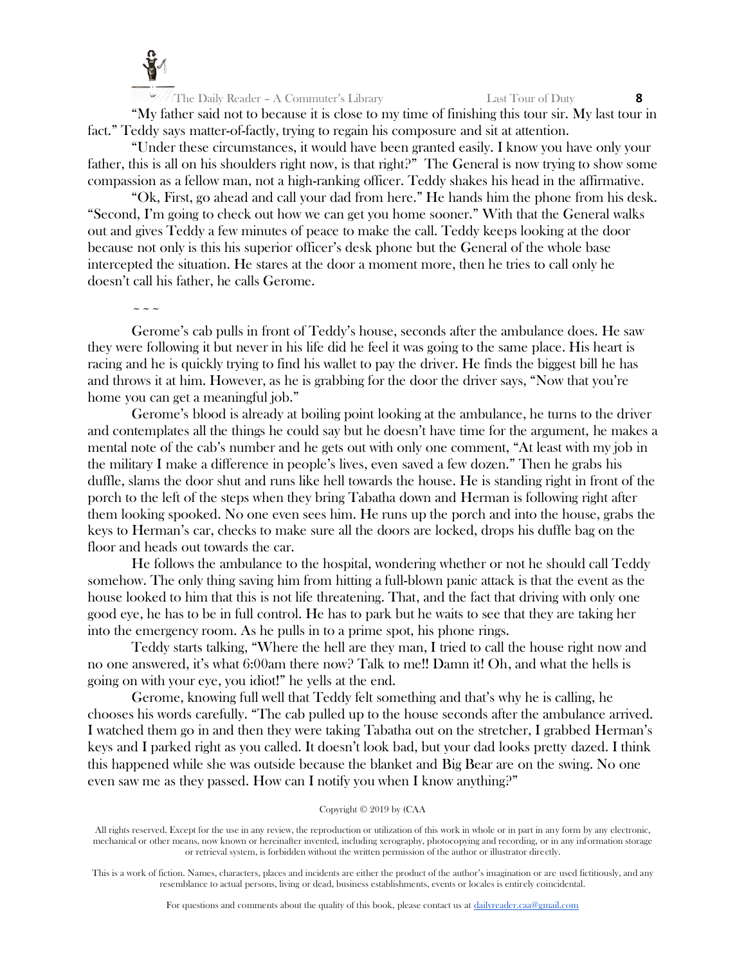

"My father said not to because it is close to my time of finishing this tour sir. My last tour in fact." Teddy says matter-of-factly, trying to regain his composure and sit at attention.

"Under these circumstances, it would have been granted easily. I know you have only your father, this is all on his shoulders right now, is that right?" The General is now trying to show some compassion as a fellow man, not a high-ranking officer. Teddy shakes his head in the affirmative.

"Ok, First, go ahead and call your dad from here." He hands him the phone from his desk. "Second, I'm going to check out how we can get you home sooner." With that the General walks out and gives Teddy a few minutes of peace to make the call. Teddy keeps looking at the door because not only is this his superior officer's desk phone but the General of the whole base intercepted the situation. He stares at the door a moment more, then he tries to call only he doesn't call his father, he calls Gerome.

 $\sim$   $\sim$   $\sim$ 

Gerome's cab pulls in front of Teddy's house, seconds after the ambulance does. He saw they were following it but never in his life did he feel it was going to the same place. His heart is racing and he is quickly trying to find his wallet to pay the driver. He finds the biggest bill he has and throws it at him. However, as he is grabbing for the door the driver says, "Now that you're home you can get a meaningful job."

Gerome's blood is already at boiling point looking at the ambulance, he turns to the driver and contemplates all the things he could say but he doesn't have time for the argument, he makes a mental note of the cab's number and he gets out with only one comment, "At least with my job in the military I make a difference in people's lives, even saved a few dozen." Then he grabs his duffle, slams the door shut and runs like hell towards the house. He is standing right in front of the porch to the left of the steps when they bring Tabatha down and Herman is following right after them looking spooked. No one even sees him. He runs up the porch and into the house, grabs the keys to Herman's car, checks to make sure all the doors are locked, drops his duffle bag on the floor and heads out towards the car.

He follows the ambulance to the hospital, wondering whether or not he should call Teddy somehow. The only thing saving him from hitting a full-blown panic attack is that the event as the house looked to him that this is not life threatening. That, and the fact that driving with only one good eye, he has to be in full control. He has to park but he waits to see that they are taking her into the emergency room. As he pulls in to a prime spot, his phone rings.

Teddy starts talking, "Where the hell are they man, I tried to call the house right now and no one answered, it's what 6:00am there now? Talk to me!! Damn it! Oh, and what the hells is going on with your eye, you idiot!" he yells at the end.

Gerome, knowing full well that Teddy felt something and that's why he is calling, he chooses his words carefully. "The cab pulled up to the house seconds after the ambulance arrived. I watched them go in and then they were taking Tabatha out on the stretcher, I grabbed Herman's keys and I parked right as you called. It doesn't look bad, but your dad looks pretty dazed. I think this happened while she was outside because the blanket and Big Bear are on the swing. No one even saw me as they passed. How can I notify you when I know anything?"

## Copyright © 2019 by (CAA

All rights reserved. Except for the use in any review, the reproduction or utilization of this work in whole or in part in any form by any electronic, mechanical or other means, now known or hereinafter invented, including xerography, photocopying and recording, or in any information storage or retrieval system, is forbidden without the written permission of the author or illustrator directly.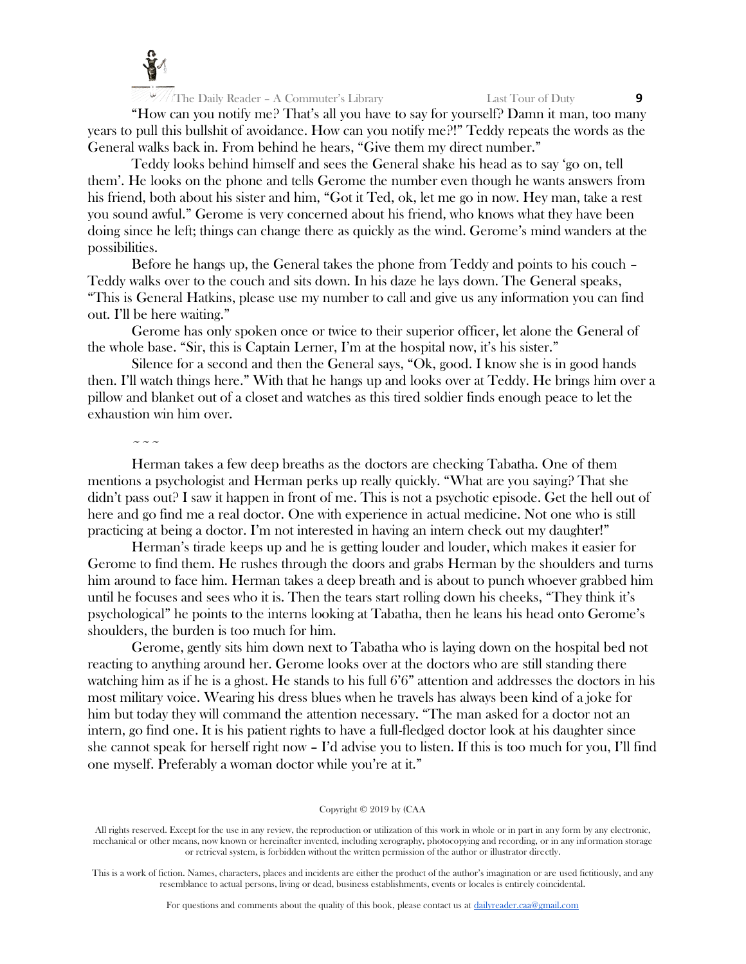

"How can you notify me? That's all you have to say for yourself? Damn it man, too many years to pull this bullshit of avoidance. How can you notify me?!" Teddy repeats the words as the General walks back in. From behind he hears, "Give them my direct number."

Teddy looks behind himself and sees the General shake his head as to say 'go on, tell them'. He looks on the phone and tells Gerome the number even though he wants answers from his friend, both about his sister and him, "Got it Ted, ok, let me go in now. Hey man, take a rest you sound awful." Gerome is very concerned about his friend, who knows what they have been doing since he left; things can change there as quickly as the wind. Gerome's mind wanders at the possibilities.

Before he hangs up, the General takes the phone from Teddy and points to his couch – Teddy walks over to the couch and sits down. In his daze he lays down. The General speaks, "This is General Hatkins, please use my number to call and give us any information you can find out. I'll be here waiting."

Gerome has only spoken once or twice to their superior officer, let alone the General of the whole base. "Sir, this is Captain Lerner, I'm at the hospital now, it's his sister."

Silence for a second and then the General says, "Ok, good. I know she is in good hands then. I'll watch things here." With that he hangs up and looks over at Teddy. He brings him over a pillow and blanket out of a closet and watches as this tired soldier finds enough peace to let the exhaustion win him over.

 $\sim$   $\sim$   $\sim$ 

Herman takes a few deep breaths as the doctors are checking Tabatha. One of them mentions a psychologist and Herman perks up really quickly. "What are you saying? That she didn't pass out? I saw it happen in front of me. This is not a psychotic episode. Get the hell out of here and go find me a real doctor. One with experience in actual medicine. Not one who is still practicing at being a doctor. I'm not interested in having an intern check out my daughter!"

Herman's tirade keeps up and he is getting louder and louder, which makes it easier for Gerome to find them. He rushes through the doors and grabs Herman by the shoulders and turns him around to face him. Herman takes a deep breath and is about to punch whoever grabbed him until he focuses and sees who it is. Then the tears start rolling down his cheeks, "They think it's psychological" he points to the interns looking at Tabatha, then he leans his head onto Gerome's shoulders, the burden is too much for him.

Gerome, gently sits him down next to Tabatha who is laying down on the hospital bed not reacting to anything around her. Gerome looks over at the doctors who are still standing there watching him as if he is a ghost. He stands to his full 6'6" attention and addresses the doctors in his most military voice. Wearing his dress blues when he travels has always been kind of a joke for him but today they will command the attention necessary. "The man asked for a doctor not an intern, go find one. It is his patient rights to have a full-fledged doctor look at his daughter since she cannot speak for herself right now – I'd advise you to listen. If this is too much for you, I'll find one myself. Preferably a woman doctor while you're at it."

## Copyright © 2019 by (CAA

All rights reserved. Except for the use in any review, the reproduction or utilization of this work in whole or in part in any form by any electronic, mechanical or other means, now known or hereinafter invented, including xerography, photocopying and recording, or in any information storage or retrieval system, is forbidden without the written permission of the author or illustrator directly.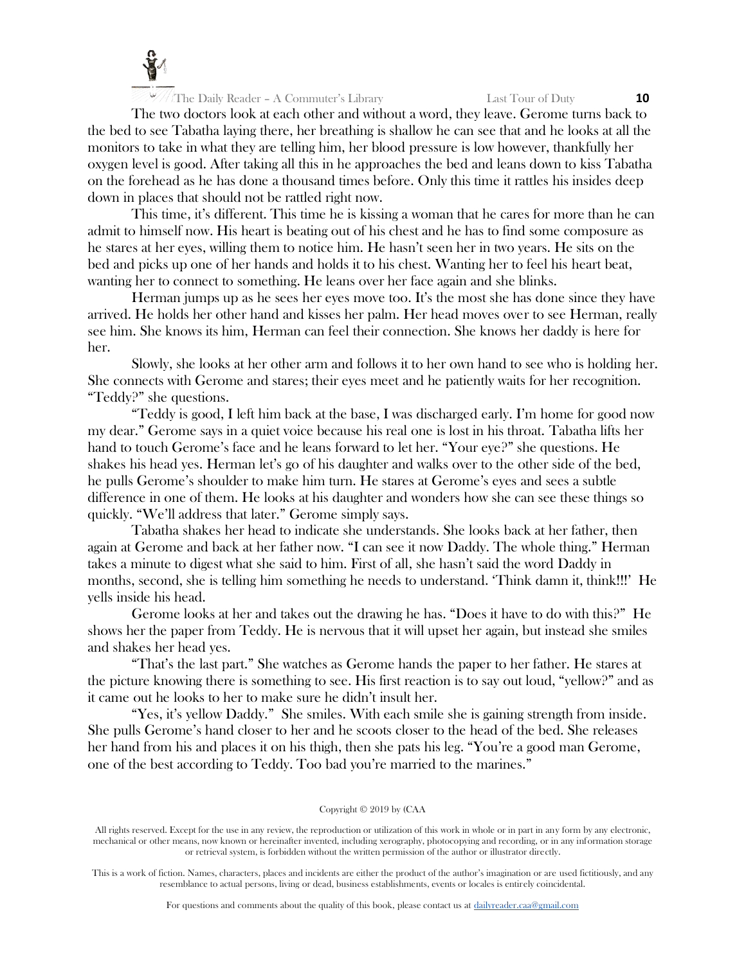

The two doctors look at each other and without a word, they leave. Gerome turns back to the bed to see Tabatha laying there, her breathing is shallow he can see that and he looks at all the monitors to take in what they are telling him, her blood pressure is low however, thankfully her oxygen level is good. After taking all this in he approaches the bed and leans down to kiss Tabatha on the forehead as he has done a thousand times before. Only this time it rattles his insides deep down in places that should not be rattled right now.

This time, it's different. This time he is kissing a woman that he cares for more than he can admit to himself now. His heart is beating out of his chest and he has to find some composure as he stares at her eyes, willing them to notice him. He hasn't seen her in two years. He sits on the bed and picks up one of her hands and holds it to his chest. Wanting her to feel his heart beat, wanting her to connect to something. He leans over her face again and she blinks.

Herman jumps up as he sees her eyes move too. It's the most she has done since they have arrived. He holds her other hand and kisses her palm. Her head moves over to see Herman, really see him. She knows its him, Herman can feel their connection. She knows her daddy is here for her.

Slowly, she looks at her other arm and follows it to her own hand to see who is holding her. She connects with Gerome and stares; their eyes meet and he patiently waits for her recognition. "Teddy?" she questions.

"Teddy is good, I left him back at the base, I was discharged early. I'm home for good now my dear." Gerome says in a quiet voice because his real one is lost in his throat. Tabatha lifts her hand to touch Gerome's face and he leans forward to let her. "Your eye?" she questions. He shakes his head yes. Herman let's go of his daughter and walks over to the other side of the bed, he pulls Gerome's shoulder to make him turn. He stares at Gerome's eyes and sees a subtle difference in one of them. He looks at his daughter and wonders how she can see these things so quickly. "We'll address that later." Gerome simply says.

Tabatha shakes her head to indicate she understands. She looks back at her father, then again at Gerome and back at her father now. "I can see it now Daddy. The whole thing." Herman takes a minute to digest what she said to him. First of all, she hasn't said the word Daddy in months, second, she is telling him something he needs to understand. 'Think damn it, think!!!' He yells inside his head.

Gerome looks at her and takes out the drawing he has. "Does it have to do with this?" He shows her the paper from Teddy. He is nervous that it will upset her again, but instead she smiles and shakes her head yes.

"That's the last part." She watches as Gerome hands the paper to her father. He stares at the picture knowing there is something to see. His first reaction is to say out loud, "yellow?" and as it came out he looks to her to make sure he didn't insult her.

"Yes, it's yellow Daddy." She smiles. With each smile she is gaining strength from inside. She pulls Gerome's hand closer to her and he scoots closer to the head of the bed. She releases her hand from his and places it on his thigh, then she pats his leg. "You're a good man Gerome, one of the best according to Teddy. Too bad you're married to the marines."

## Copyright © 2019 by (CAA

All rights reserved. Except for the use in any review, the reproduction or utilization of this work in whole or in part in any form by any electronic, mechanical or other means, now known or hereinafter invented, including xerography, photocopying and recording, or in any information storage or retrieval system, is forbidden without the written permission of the author or illustrator directly.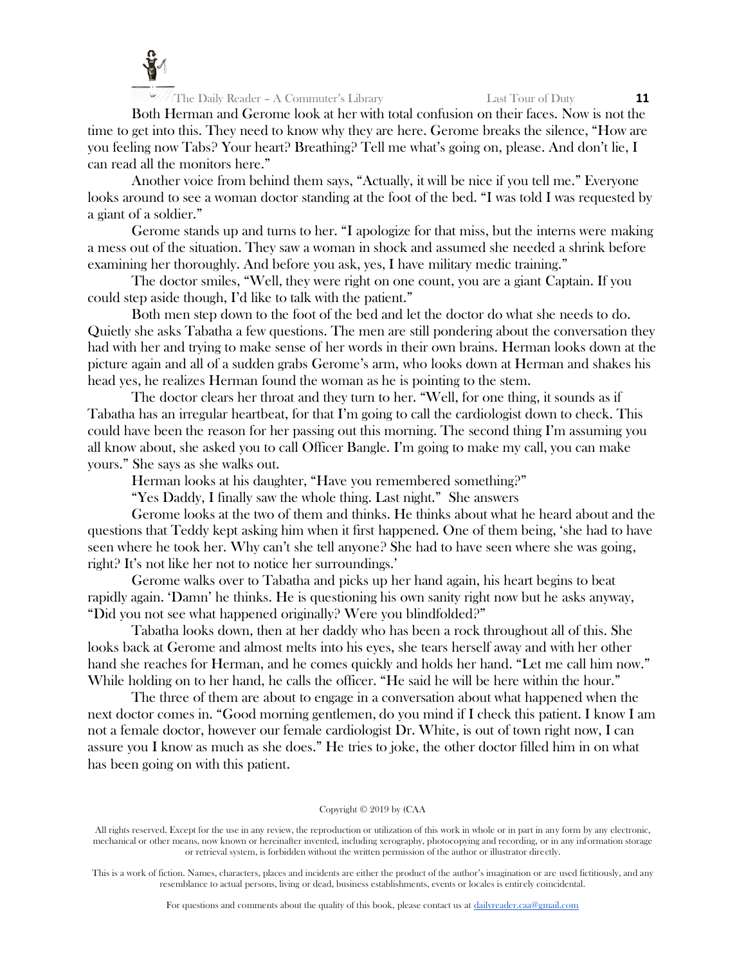

Both Herman and Gerome look at her with total confusion on their faces. Now is not the time to get into this. They need to know why they are here. Gerome breaks the silence, "How are you feeling now Tabs? Your heart? Breathing? Tell me what's going on, please. And don't lie, I can read all the monitors here."

Another voice from behind them says, "Actually, it will be nice if you tell me." Everyone looks around to see a woman doctor standing at the foot of the bed. "I was told I was requested by a giant of a soldier."

Gerome stands up and turns to her. "I apologize for that miss, but the interns were making a mess out of the situation. They saw a woman in shock and assumed she needed a shrink before examining her thoroughly. And before you ask, yes, I have military medic training."

The doctor smiles, "Well, they were right on one count, you are a giant Captain. If you could step aside though, I'd like to talk with the patient."

Both men step down to the foot of the bed and let the doctor do what she needs to do. Quietly she asks Tabatha a few questions. The men are still pondering about the conversation they had with her and trying to make sense of her words in their own brains. Herman looks down at the picture again and all of a sudden grabs Gerome's arm, who looks down at Herman and shakes his head yes, he realizes Herman found the woman as he is pointing to the stem.

The doctor clears her throat and they turn to her. "Well, for one thing, it sounds as if Tabatha has an irregular heartbeat, for that I'm going to call the cardiologist down to check. This could have been the reason for her passing out this morning. The second thing I'm assuming you all know about, she asked you to call Officer Bangle. I'm going to make my call, you can make yours." She says as she walks out.

Herman looks at his daughter, "Have you remembered something?"

"Yes Daddy, I finally saw the whole thing. Last night." She answers

Gerome looks at the two of them and thinks. He thinks about what he heard about and the questions that Teddy kept asking him when it first happened. One of them being, 'she had to have seen where he took her. Why can't she tell anyone? She had to have seen where she was going, right? It's not like her not to notice her surroundings.'

Gerome walks over to Tabatha and picks up her hand again, his heart begins to beat rapidly again. 'Damn' he thinks. He is questioning his own sanity right now but he asks anyway, "Did you not see what happened originally? Were you blindfolded?"

Tabatha looks down, then at her daddy who has been a rock throughout all of this. She looks back at Gerome and almost melts into his eyes, she tears herself away and with her other hand she reaches for Herman, and he comes quickly and holds her hand. "Let me call him now." While holding on to her hand, he calls the officer. "He said he will be here within the hour."

The three of them are about to engage in a conversation about what happened when the next doctor comes in. "Good morning gentlemen, do you mind if I check this patient. I know I am not a female doctor, however our female cardiologist Dr. White, is out of town right now, I can assure you I know as much as she does." He tries to joke, the other doctor filled him in on what has been going on with this patient.

## Copyright © 2019 by (CAA

All rights reserved. Except for the use in any review, the reproduction or utilization of this work in whole or in part in any form by any electronic, mechanical or other means, now known or hereinafter invented, including xerography, photocopying and recording, or in any information storage or retrieval system, is forbidden without the written permission of the author or illustrator directly.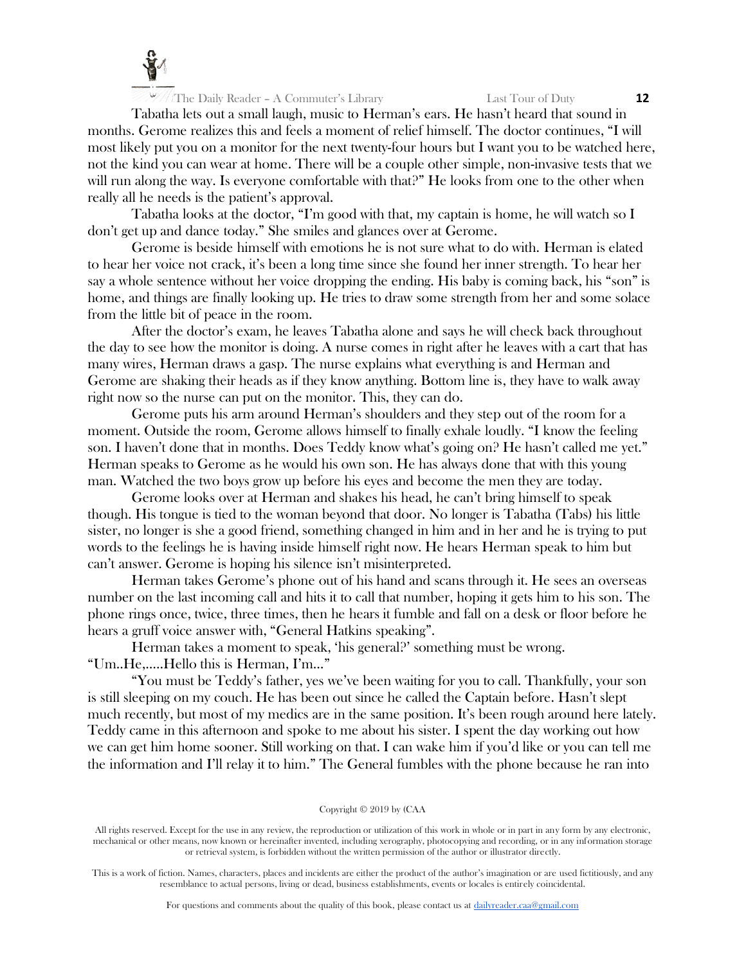

Tabatha lets out a small laugh, music to Herman's ears. He hasn't heard that sound in months. Gerome realizes this and feels a moment of relief himself. The doctor continues, "I will most likely put you on a monitor for the next twenty-four hours but I want you to be watched here, not the kind you can wear at home. There will be a couple other simple, non-invasive tests that we will run along the way. Is everyone comfortable with that?" He looks from one to the other when really all he needs is the patient's approval.

Tabatha looks at the doctor, "I'm good with that, my captain is home, he will watch so I don't get up and dance today." She smiles and glances over at Gerome.

Gerome is beside himself with emotions he is not sure what to do with. Herman is elated to hear her voice not crack, it's been a long time since she found her inner strength. To hear her say a whole sentence without her voice dropping the ending. His baby is coming back, his "son" is home, and things are finally looking up. He tries to draw some strength from her and some solace from the little bit of peace in the room.

After the doctor's exam, he leaves Tabatha alone and says he will check back throughout the day to see how the monitor is doing. A nurse comes in right after he leaves with a cart that has many wires, Herman draws a gasp. The nurse explains what everything is and Herman and Gerome are shaking their heads as if they know anything. Bottom line is, they have to walk away right now so the nurse can put on the monitor. This, they can do.

Gerome puts his arm around Herman's shoulders and they step out of the room for a moment. Outside the room, Gerome allows himself to finally exhale loudly. "I know the feeling son. I haven't done that in months. Does Teddy know what's going on? He hasn't called me yet." Herman speaks to Gerome as he would his own son. He has always done that with this young man. Watched the two boys grow up before his eyes and become the men they are today.

Gerome looks over at Herman and shakes his head, he can't bring himself to speak though. His tongue is tied to the woman beyond that door. No longer is Tabatha (Tabs) his little sister, no longer is she a good friend, something changed in him and in her and he is trying to put words to the feelings he is having inside himself right now. He hears Herman speak to him but can't answer. Gerome is hoping his silence isn't misinterpreted.

Herman takes Gerome's phone out of his hand and scans through it. He sees an overseas number on the last incoming call and hits it to call that number, hoping it gets him to his son. The phone rings once, twice, three times, then he hears it fumble and fall on a desk or floor before he hears a gruff voice answer with, "General Hatkins speaking".

Herman takes a moment to speak, 'his general?' something must be wrong. "Um..He,…..Hello this is Herman, I'm…"

"You must be Teddy's father, yes we've been waiting for you to call. Thankfully, your son is still sleeping on my couch. He has been out since he called the Captain before. Hasn't slept much recently, but most of my medics are in the same position. It's been rough around here lately. Teddy came in this afternoon and spoke to me about his sister. I spent the day working out how we can get him home sooner. Still working on that. I can wake him if you'd like or you can tell me the information and I'll relay it to him." The General fumbles with the phone because he ran into

#### Copyright © 2019 by (CAA

All rights reserved. Except for the use in any review, the reproduction or utilization of this work in whole or in part in any form by any electronic, mechanical or other means, now known or hereinafter invented, including xerography, photocopying and recording, or in any information storage or retrieval system, is forbidden without the written permission of the author or illustrator directly.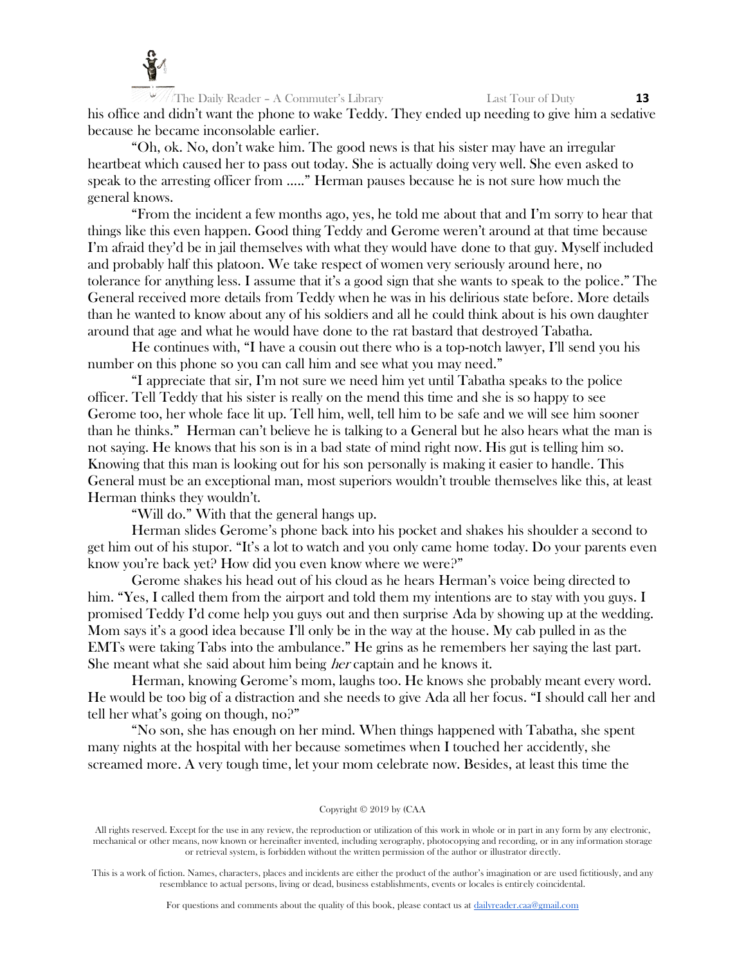

The Daily Reader – A Commuter's Library Last Tour of Duty **13** his office and didn't want the phone to wake Teddy. They ended up needing to give him a sedative because he became inconsolable earlier.

"Oh, ok. No, don't wake him. The good news is that his sister may have an irregular heartbeat which caused her to pass out today. She is actually doing very well. She even asked to speak to the arresting officer from ….." Herman pauses because he is not sure how much the general knows.

"From the incident a few months ago, yes, he told me about that and I'm sorry to hear that things like this even happen. Good thing Teddy and Gerome weren't around at that time because I'm afraid they'd be in jail themselves with what they would have done to that guy. Myself included and probably half this platoon. We take respect of women very seriously around here, no tolerance for anything less. I assume that it's a good sign that she wants to speak to the police." The General received more details from Teddy when he was in his delirious state before. More details than he wanted to know about any of his soldiers and all he could think about is his own daughter around that age and what he would have done to the rat bastard that destroyed Tabatha.

He continues with, "I have a cousin out there who is a top-notch lawyer, I'll send you his number on this phone so you can call him and see what you may need."

"I appreciate that sir, I'm not sure we need him yet until Tabatha speaks to the police officer. Tell Teddy that his sister is really on the mend this time and she is so happy to see Gerome too, her whole face lit up. Tell him, well, tell him to be safe and we will see him sooner than he thinks." Herman can't believe he is talking to a General but he also hears what the man is not saying. He knows that his son is in a bad state of mind right now. His gut is telling him so. Knowing that this man is looking out for his son personally is making it easier to handle. This General must be an exceptional man, most superiors wouldn't trouble themselves like this, at least Herman thinks they wouldn't.

"Will do." With that the general hangs up.

Herman slides Gerome's phone back into his pocket and shakes his shoulder a second to get him out of his stupor. "It's a lot to watch and you only came home today. Do your parents even know you're back yet? How did you even know where we were?"

Gerome shakes his head out of his cloud as he hears Herman's voice being directed to him. "Yes, I called them from the airport and told them my intentions are to stay with you guys. I promised Teddy I'd come help you guys out and then surprise Ada by showing up at the wedding. Mom says it's a good idea because I'll only be in the way at the house. My cab pulled in as the EMTs were taking Tabs into the ambulance." He grins as he remembers her saying the last part. She meant what she said about him being *her* captain and he knows it.

Herman, knowing Gerome's mom, laughs too. He knows she probably meant every word. He would be too big of a distraction and she needs to give Ada all her focus. "I should call her and tell her what's going on though, no?"

"No son, she has enough on her mind. When things happened with Tabatha, she spent many nights at the hospital with her because sometimes when I touched her accidently, she screamed more. A very tough time, let your mom celebrate now. Besides, at least this time the

#### Copyright © 2019 by (CAA

All rights reserved. Except for the use in any review, the reproduction or utilization of this work in whole or in part in any form by any electronic, mechanical or other means, now known or hereinafter invented, including xerography, photocopying and recording, or in any information storage or retrieval system, is forbidden without the written permission of the author or illustrator directly.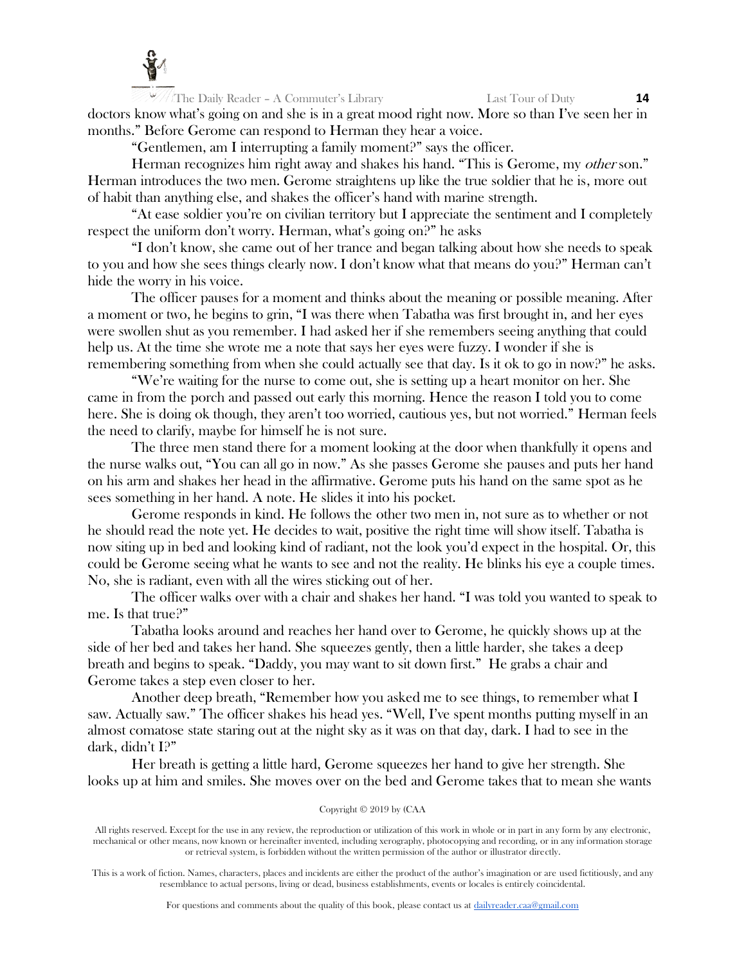

The Daily Reader – A Commuter's Library Last Tour of Duty **14** doctors know what's going on and she is in a great mood right now. More so than I've seen her in months." Before Gerome can respond to Herman they hear a voice.

"Gentlemen, am I interrupting a family moment?" says the officer.

Herman recognizes him right away and shakes his hand. "This is Gerome, my other son." Herman introduces the two men. Gerome straightens up like the true soldier that he is, more out of habit than anything else, and shakes the officer's hand with marine strength.

"At ease soldier you're on civilian territory but I appreciate the sentiment and I completely respect the uniform don't worry. Herman, what's going on?" he asks

"I don't know, she came out of her trance and began talking about how she needs to speak to you and how she sees things clearly now. I don't know what that means do you?" Herman can't hide the worry in his voice.

The officer pauses for a moment and thinks about the meaning or possible meaning. After a moment or two, he begins to grin, "I was there when Tabatha was first brought in, and her eyes were swollen shut as you remember. I had asked her if she remembers seeing anything that could help us. At the time she wrote me a note that says her eyes were fuzzy. I wonder if she is remembering something from when she could actually see that day. Is it ok to go in now?" he asks.

"We're waiting for the nurse to come out, she is setting up a heart monitor on her. She came in from the porch and passed out early this morning. Hence the reason I told you to come here. She is doing ok though, they aren't too worried, cautious yes, but not worried." Herman feels the need to clarify, maybe for himself he is not sure.

The three men stand there for a moment looking at the door when thankfully it opens and the nurse walks out, "You can all go in now." As she passes Gerome she pauses and puts her hand on his arm and shakes her head in the affirmative. Gerome puts his hand on the same spot as he sees something in her hand. A note. He slides it into his pocket.

Gerome responds in kind. He follows the other two men in, not sure as to whether or not he should read the note yet. He decides to wait, positive the right time will show itself. Tabatha is now siting up in bed and looking kind of radiant, not the look you'd expect in the hospital. Or, this could be Gerome seeing what he wants to see and not the reality. He blinks his eye a couple times. No, she is radiant, even with all the wires sticking out of her.

The officer walks over with a chair and shakes her hand. "I was told you wanted to speak to me. Is that true?"

Tabatha looks around and reaches her hand over to Gerome, he quickly shows up at the side of her bed and takes her hand. She squeezes gently, then a little harder, she takes a deep breath and begins to speak. "Daddy, you may want to sit down first." He grabs a chair and Gerome takes a step even closer to her.

Another deep breath, "Remember how you asked me to see things, to remember what I saw. Actually saw." The officer shakes his head yes. "Well, I've spent months putting myself in an almost comatose state staring out at the night sky as it was on that day, dark. I had to see in the dark, didn't I?"

Her breath is getting a little hard, Gerome squeezes her hand to give her strength. She looks up at him and smiles. She moves over on the bed and Gerome takes that to mean she wants

## Copyright © 2019 by (CAA

All rights reserved. Except for the use in any review, the reproduction or utilization of this work in whole or in part in any form by any electronic, mechanical or other means, now known or hereinafter invented, including xerography, photocopying and recording, or in any information storage or retrieval system, is forbidden without the written permission of the author or illustrator directly.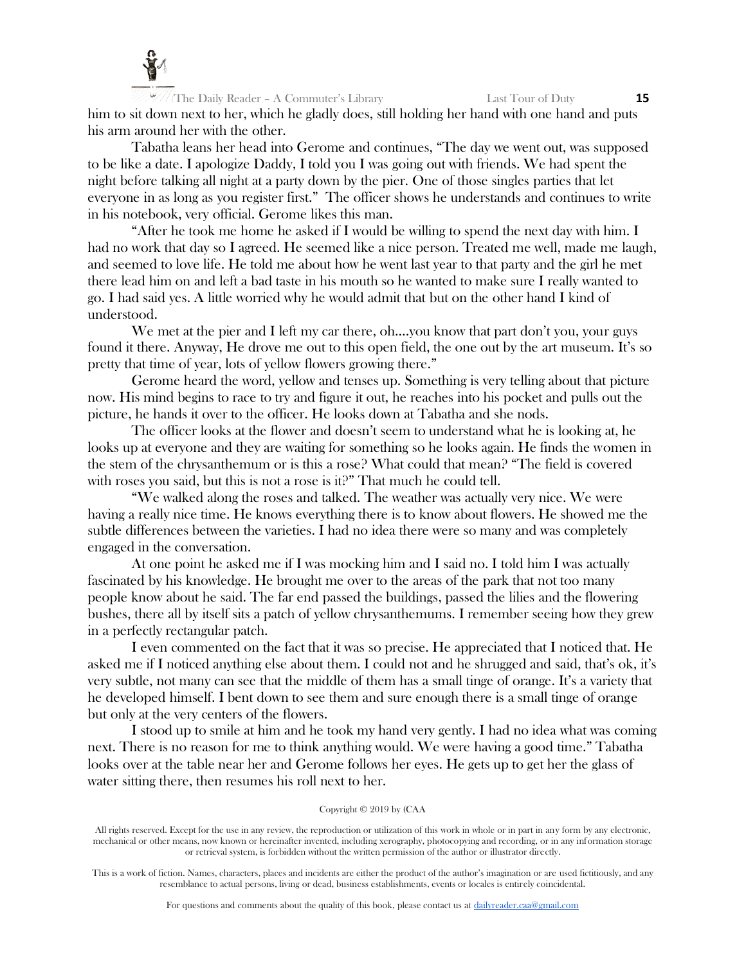

The Daily Reader – A Commuter's Library Last Tour of Duty **15** him to sit down next to her, which he gladly does, still holding her hand with one hand and puts his arm around her with the other.

Tabatha leans her head into Gerome and continues, "The day we went out, was supposed to be like a date. I apologize Daddy, I told you I was going out with friends. We had spent the night before talking all night at a party down by the pier. One of those singles parties that let everyone in as long as you register first." The officer shows he understands and continues to write in his notebook, very official. Gerome likes this man.

"After he took me home he asked if I would be willing to spend the next day with him. I had no work that day so I agreed. He seemed like a nice person. Treated me well, made me laugh, and seemed to love life. He told me about how he went last year to that party and the girl he met there lead him on and left a bad taste in his mouth so he wanted to make sure I really wanted to go. I had said yes. A little worried why he would admit that but on the other hand I kind of understood.

We met at the pier and I left my car there, oh….you know that part don't you, your guys found it there. Anyway, He drove me out to this open field, the one out by the art museum. It's so pretty that time of year, lots of yellow flowers growing there."

Gerome heard the word, yellow and tenses up. Something is very telling about that picture now. His mind begins to race to try and figure it out, he reaches into his pocket and pulls out the picture, he hands it over to the officer. He looks down at Tabatha and she nods.

The officer looks at the flower and doesn't seem to understand what he is looking at, he looks up at everyone and they are waiting for something so he looks again. He finds the women in the stem of the chrysanthemum or is this a rose? What could that mean? "The field is covered with roses you said, but this is not a rose is it?" That much he could tell.

"We walked along the roses and talked. The weather was actually very nice. We were having a really nice time. He knows everything there is to know about flowers. He showed me the subtle differences between the varieties. I had no idea there were so many and was completely engaged in the conversation.

At one point he asked me if I was mocking him and I said no. I told him I was actually fascinated by his knowledge. He brought me over to the areas of the park that not too many people know about he said. The far end passed the buildings, passed the lilies and the flowering bushes, there all by itself sits a patch of yellow chrysanthemums. I remember seeing how they grew in a perfectly rectangular patch.

I even commented on the fact that it was so precise. He appreciated that I noticed that. He asked me if I noticed anything else about them. I could not and he shrugged and said, that's ok, it's very subtle, not many can see that the middle of them has a small tinge of orange. It's a variety that he developed himself. I bent down to see them and sure enough there is a small tinge of orange but only at the very centers of the flowers.

I stood up to smile at him and he took my hand very gently. I had no idea what was coming next. There is no reason for me to think anything would. We were having a good time." Tabatha looks over at the table near her and Gerome follows her eyes. He gets up to get her the glass of water sitting there, then resumes his roll next to her.

## Copyright © 2019 by (CAA

All rights reserved. Except for the use in any review, the reproduction or utilization of this work in whole or in part in any form by any electronic, mechanical or other means, now known or hereinafter invented, including xerography, photocopying and recording, or in any information storage or retrieval system, is forbidden without the written permission of the author or illustrator directly.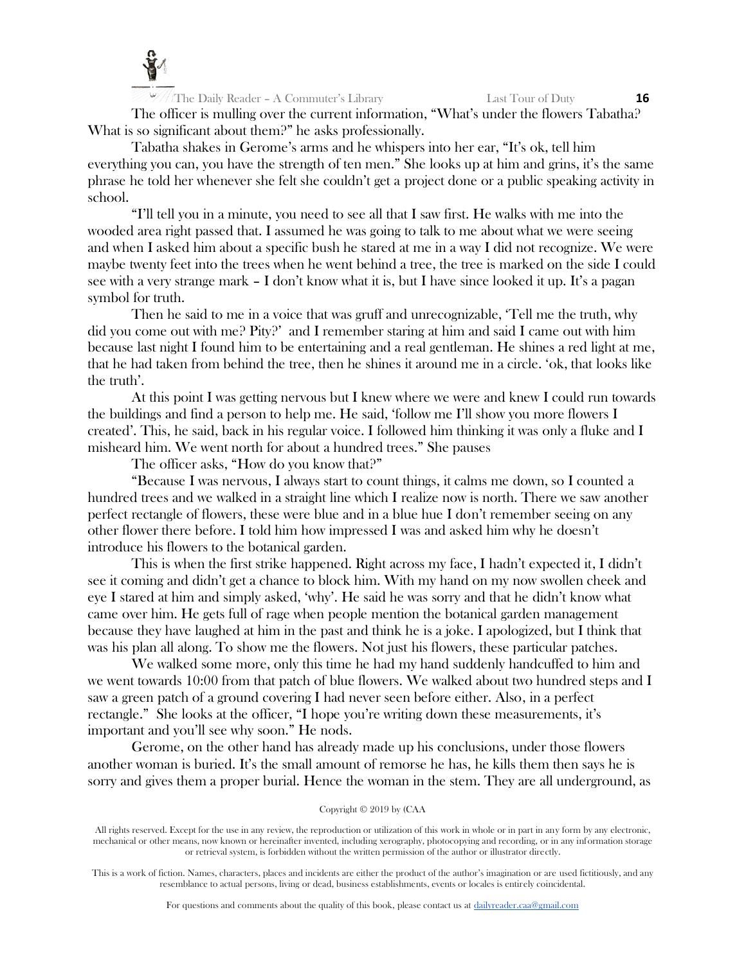

The officer is mulling over the current information, "What's under the flowers Tabatha? What is so significant about them?" he asks professionally.

Tabatha shakes in Gerome's arms and he whispers into her ear, "It's ok, tell him everything you can, you have the strength of ten men." She looks up at him and grins, it's the same phrase he told her whenever she felt she couldn't get a project done or a public speaking activity in school.

"I'll tell you in a minute, you need to see all that I saw first. He walks with me into the wooded area right passed that. I assumed he was going to talk to me about what we were seeing and when I asked him about a specific bush he stared at me in a way I did not recognize. We were maybe twenty feet into the trees when he went behind a tree, the tree is marked on the side I could see with a very strange mark – I don't know what it is, but I have since looked it up. It's a pagan symbol for truth.

Then he said to me in a voice that was gruff and unrecognizable, 'Tell me the truth, why did you come out with me? Pity?' and I remember staring at him and said I came out with him because last night I found him to be entertaining and a real gentleman. He shines a red light at me, that he had taken from behind the tree, then he shines it around me in a circle. 'ok, that looks like the truth'.

At this point I was getting nervous but I knew where we were and knew I could run towards the buildings and find a person to help me. He said, 'follow me I'll show you more flowers I created'. This, he said, back in his regular voice. I followed him thinking it was only a fluke and I misheard him. We went north for about a hundred trees." She pauses

The officer asks, "How do you know that?"

"Because I was nervous, I always start to count things, it calms me down, so I counted a hundred trees and we walked in a straight line which I realize now is north. There we saw another perfect rectangle of flowers, these were blue and in a blue hue I don't remember seeing on any other flower there before. I told him how impressed I was and asked him why he doesn't introduce his flowers to the botanical garden.

This is when the first strike happened. Right across my face, I hadn't expected it, I didn't see it coming and didn't get a chance to block him. With my hand on my now swollen cheek and eye I stared at him and simply asked, 'why'. He said he was sorry and that he didn't know what came over him. He gets full of rage when people mention the botanical garden management because they have laughed at him in the past and think he is a joke. I apologized, but I think that was his plan all along. To show me the flowers. Not just his flowers, these particular patches.

We walked some more, only this time he had my hand suddenly handcuffed to him and we went towards 10:00 from that patch of blue flowers. We walked about two hundred steps and I saw a green patch of a ground covering I had never seen before either. Also, in a perfect rectangle." She looks at the officer, "I hope you're writing down these measurements, it's important and you'll see why soon." He nods.

Gerome, on the other hand has already made up his conclusions, under those flowers another woman is buried. It's the small amount of remorse he has, he kills them then says he is sorry and gives them a proper burial. Hence the woman in the stem. They are all underground, as

# Copyright © 2019 by (CAA

All rights reserved. Except for the use in any review, the reproduction or utilization of this work in whole or in part in any form by any electronic, mechanical or other means, now known or hereinafter invented, including xerography, photocopying and recording, or in any information storage or retrieval system, is forbidden without the written permission of the author or illustrator directly.

This is a work of fiction. Names, characters, places and incidents are either the product of the author's imagination or are used fictitiously, and any resemblance to actual persons, living or dead, business establishments, events or locales is entirely coincidental.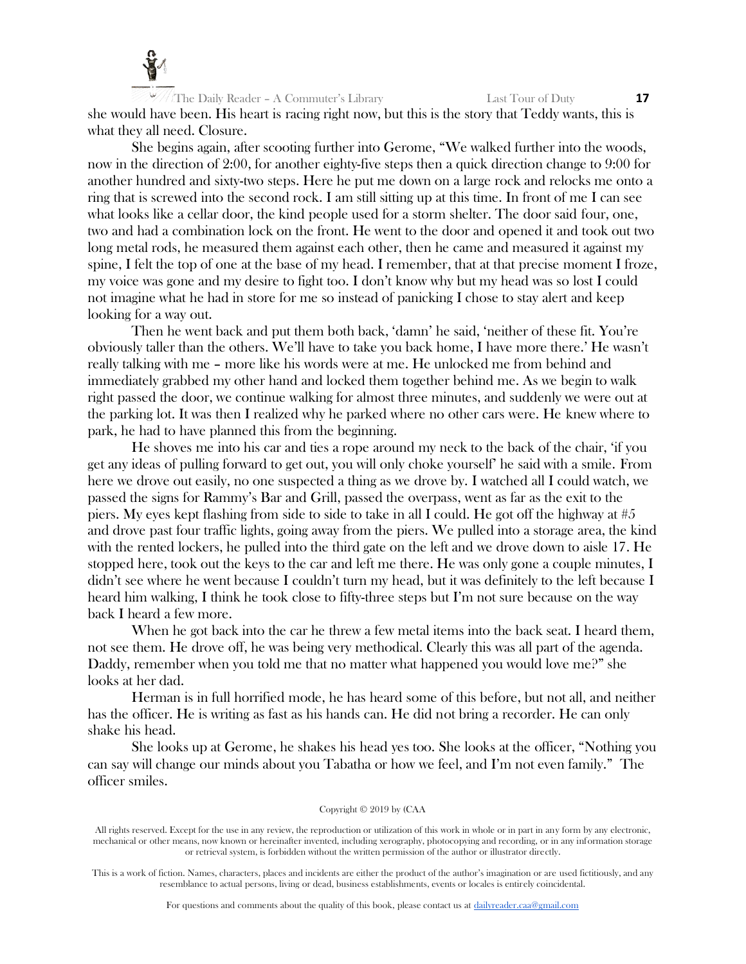

The Daily Reader – A Commuter's Library Last Tour of Duty **17** she would have been. His heart is racing right now, but this is the story that Teddy wants, this is what they all need. Closure.

She begins again, after scooting further into Gerome, "We walked further into the woods, now in the direction of 2:00, for another eighty-five steps then a quick direction change to 9:00 for another hundred and sixty-two steps. Here he put me down on a large rock and relocks me onto a ring that is screwed into the second rock. I am still sitting up at this time. In front of me I can see what looks like a cellar door, the kind people used for a storm shelter. The door said four, one, two and had a combination lock on the front. He went to the door and opened it and took out two long metal rods, he measured them against each other, then he came and measured it against my spine, I felt the top of one at the base of my head. I remember, that at that precise moment I froze, my voice was gone and my desire to fight too. I don't know why but my head was so lost I could not imagine what he had in store for me so instead of panicking I chose to stay alert and keep looking for a way out.

Then he went back and put them both back, 'damn' he said, 'neither of these fit. You're obviously taller than the others. We'll have to take you back home, I have more there.' He wasn't really talking with me – more like his words were at me. He unlocked me from behind and immediately grabbed my other hand and locked them together behind me. As we begin to walk right passed the door, we continue walking for almost three minutes, and suddenly we were out at the parking lot. It was then I realized why he parked where no other cars were. He knew where to park, he had to have planned this from the beginning.

He shoves me into his car and ties a rope around my neck to the back of the chair, 'if you get any ideas of pulling forward to get out, you will only choke yourself' he said with a smile. From here we drove out easily, no one suspected a thing as we drove by. I watched all I could watch, we passed the signs for Rammy's Bar and Grill, passed the overpass, went as far as the exit to the piers. My eyes kept flashing from side to side to take in all I could. He got off the highway at #5 and drove past four traffic lights, going away from the piers. We pulled into a storage area, the kind with the rented lockers, he pulled into the third gate on the left and we drove down to aisle 17. He stopped here, took out the keys to the car and left me there. He was only gone a couple minutes, I didn't see where he went because I couldn't turn my head, but it was definitely to the left because I heard him walking, I think he took close to fifty-three steps but I'm not sure because on the way back I heard a few more.

When he got back into the car he threw a few metal items into the back seat. I heard them, not see them. He drove off, he was being very methodical. Clearly this was all part of the agenda. Daddy, remember when you told me that no matter what happened you would love me?" she looks at her dad.

Herman is in full horrified mode, he has heard some of this before, but not all, and neither has the officer. He is writing as fast as his hands can. He did not bring a recorder. He can only shake his head.

She looks up at Gerome, he shakes his head yes too. She looks at the officer, "Nothing you can say will change our minds about you Tabatha or how we feel, and I'm not even family." The officer smiles.

## Copyright © 2019 by (CAA

All rights reserved. Except for the use in any review, the reproduction or utilization of this work in whole or in part in any form by any electronic, mechanical or other means, now known or hereinafter invented, including xerography, photocopying and recording, or in any information storage or retrieval system, is forbidden without the written permission of the author or illustrator directly.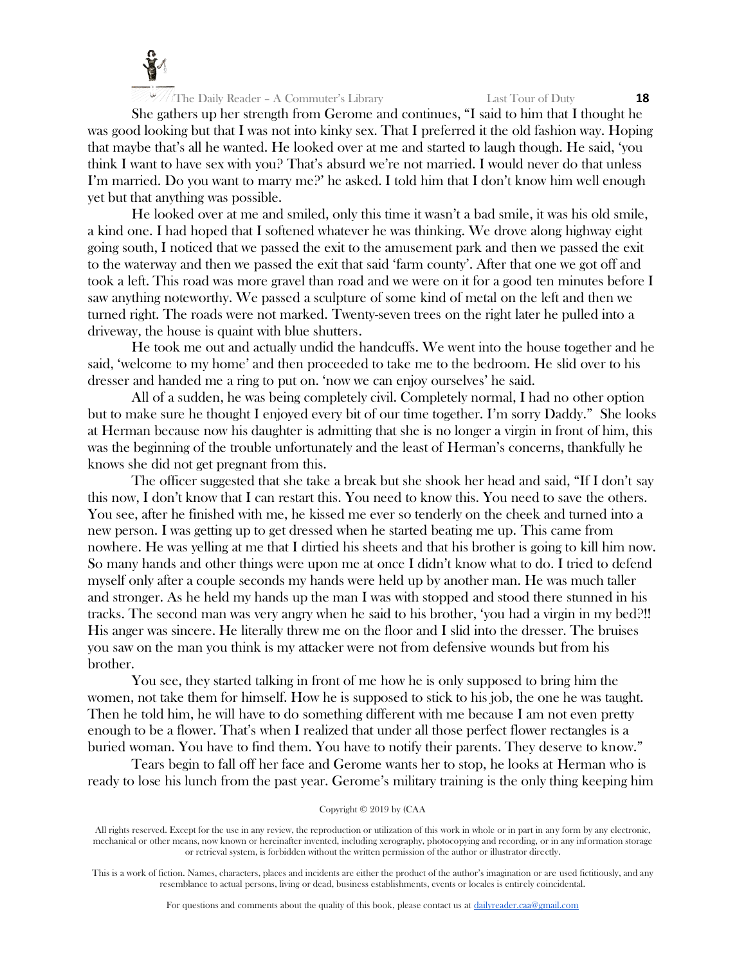

She gathers up her strength from Gerome and continues, "I said to him that I thought he was good looking but that I was not into kinky sex. That I preferred it the old fashion way. Hoping that maybe that's all he wanted. He looked over at me and started to laugh though. He said, 'you think I want to have sex with you? That's absurd we're not married. I would never do that unless I'm married. Do you want to marry me?' he asked. I told him that I don't know him well enough yet but that anything was possible.

He looked over at me and smiled, only this time it wasn't a bad smile, it was his old smile, a kind one. I had hoped that I softened whatever he was thinking. We drove along highway eight going south, I noticed that we passed the exit to the amusement park and then we passed the exit to the waterway and then we passed the exit that said 'farm county'. After that one we got off and took a left. This road was more gravel than road and we were on it for a good ten minutes before I saw anything noteworthy. We passed a sculpture of some kind of metal on the left and then we turned right. The roads were not marked. Twenty-seven trees on the right later he pulled into a driveway, the house is quaint with blue shutters.

He took me out and actually undid the handcuffs. We went into the house together and he said, 'welcome to my home' and then proceeded to take me to the bedroom. He slid over to his dresser and handed me a ring to put on. 'now we can enjoy ourselves' he said.

All of a sudden, he was being completely civil. Completely normal, I had no other option but to make sure he thought I enjoyed every bit of our time together. I'm sorry Daddy." She looks at Herman because now his daughter is admitting that she is no longer a virgin in front of him, this was the beginning of the trouble unfortunately and the least of Herman's concerns, thankfully he knows she did not get pregnant from this.

The officer suggested that she take a break but she shook her head and said, "If I don't say this now, I don't know that I can restart this. You need to know this. You need to save the others. You see, after he finished with me, he kissed me ever so tenderly on the cheek and turned into a new person. I was getting up to get dressed when he started beating me up. This came from nowhere. He was yelling at me that I dirtied his sheets and that his brother is going to kill him now. So many hands and other things were upon me at once I didn't know what to do. I tried to defend myself only after a couple seconds my hands were held up by another man. He was much taller and stronger. As he held my hands up the man I was with stopped and stood there stunned in his tracks. The second man was very angry when he said to his brother, 'you had a virgin in my bed?!! His anger was sincere. He literally threw me on the floor and I slid into the dresser. The bruises you saw on the man you think is my attacker were not from defensive wounds but from his brother.

You see, they started talking in front of me how he is only supposed to bring him the women, not take them for himself. How he is supposed to stick to his job, the one he was taught. Then he told him, he will have to do something different with me because I am not even pretty enough to be a flower. That's when I realized that under all those perfect flower rectangles is a buried woman. You have to find them. You have to notify their parents. They deserve to know."

Tears begin to fall off her face and Gerome wants her to stop, he looks at Herman who is ready to lose his lunch from the past year. Gerome's military training is the only thing keeping him

#### Copyright © 2019 by (CAA

All rights reserved. Except for the use in any review, the reproduction or utilization of this work in whole or in part in any form by any electronic, mechanical or other means, now known or hereinafter invented, including xerography, photocopying and recording, or in any information storage or retrieval system, is forbidden without the written permission of the author or illustrator directly.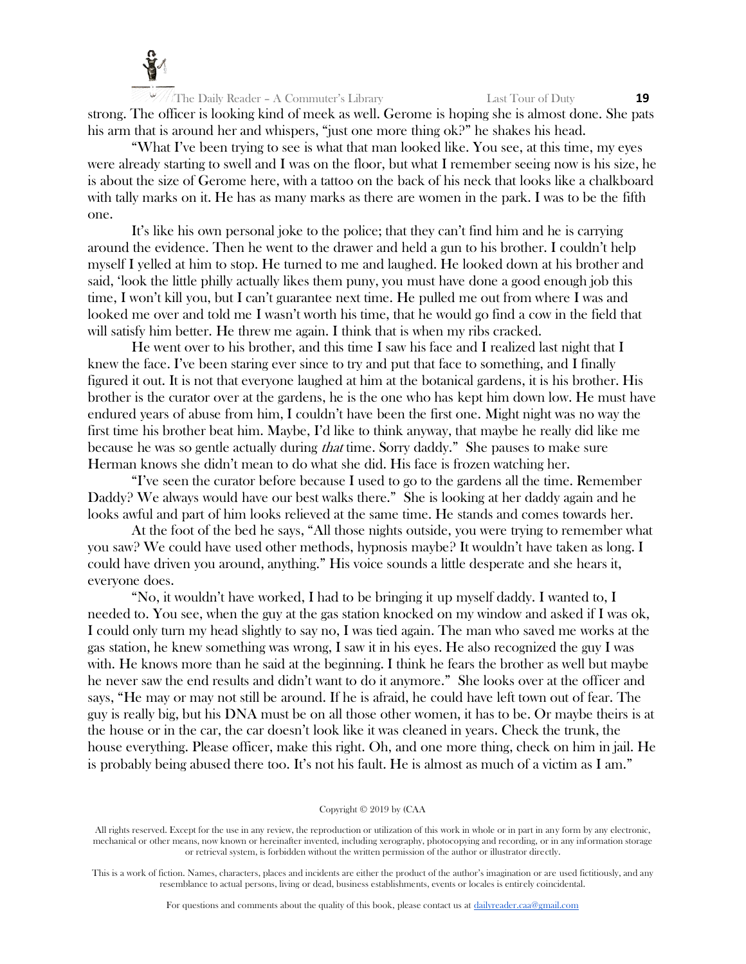

The Daily Reader – A Commuter's Library Last Tour of Duty **19** strong. The officer is looking kind of meek as well. Gerome is hoping she is almost done. She pats his arm that is around her and whispers, "just one more thing ok?" he shakes his head.

"What I've been trying to see is what that man looked like. You see, at this time, my eyes were already starting to swell and I was on the floor, but what I remember seeing now is his size, he is about the size of Gerome here, with a tattoo on the back of his neck that looks like a chalkboard with tally marks on it. He has as many marks as there are women in the park. I was to be the fifth one.

It's like his own personal joke to the police; that they can't find him and he is carrying around the evidence. Then he went to the drawer and held a gun to his brother. I couldn't help myself I yelled at him to stop. He turned to me and laughed. He looked down at his brother and said, 'look the little philly actually likes them puny, you must have done a good enough job this time, I won't kill you, but I can't guarantee next time. He pulled me out from where I was and looked me over and told me I wasn't worth his time, that he would go find a cow in the field that will satisfy him better. He threw me again. I think that is when my ribs cracked.

He went over to his brother, and this time I saw his face and I realized last night that I knew the face. I've been staring ever since to try and put that face to something, and I finally figured it out. It is not that everyone laughed at him at the botanical gardens, it is his brother. His brother is the curator over at the gardens, he is the one who has kept him down low. He must have endured years of abuse from him, I couldn't have been the first one. Might night was no way the first time his brother beat him. Maybe, I'd like to think anyway, that maybe he really did like me because he was so gentle actually during that time. Sorry daddy." She pauses to make sure Herman knows she didn't mean to do what she did. His face is frozen watching her.

"I've seen the curator before because I used to go to the gardens all the time. Remember Daddy? We always would have our best walks there." She is looking at her daddy again and he looks awful and part of him looks relieved at the same time. He stands and comes towards her.

At the foot of the bed he says, "All those nights outside, you were trying to remember what you saw? We could have used other methods, hypnosis maybe? It wouldn't have taken as long. I could have driven you around, anything." His voice sounds a little desperate and she hears it, everyone does.

"No, it wouldn't have worked, I had to be bringing it up myself daddy. I wanted to, I needed to. You see, when the guy at the gas station knocked on my window and asked if I was ok, I could only turn my head slightly to say no, I was tied again. The man who saved me works at the gas station, he knew something was wrong, I saw it in his eyes. He also recognized the guy I was with. He knows more than he said at the beginning. I think he fears the brother as well but maybe he never saw the end results and didn't want to do it anymore." She looks over at the officer and says, "He may or may not still be around. If he is afraid, he could have left town out of fear. The guy is really big, but his DNA must be on all those other women, it has to be. Or maybe theirs is at the house or in the car, the car doesn't look like it was cleaned in years. Check the trunk, the house everything. Please officer, make this right. Oh, and one more thing, check on him in jail. He is probably being abused there too. It's not his fault. He is almost as much of a victim as I am."

#### Copyright © 2019 by (CAA

All rights reserved. Except for the use in any review, the reproduction or utilization of this work in whole or in part in any form by any electronic, mechanical or other means, now known or hereinafter invented, including xerography, photocopying and recording, or in any information storage or retrieval system, is forbidden without the written permission of the author or illustrator directly.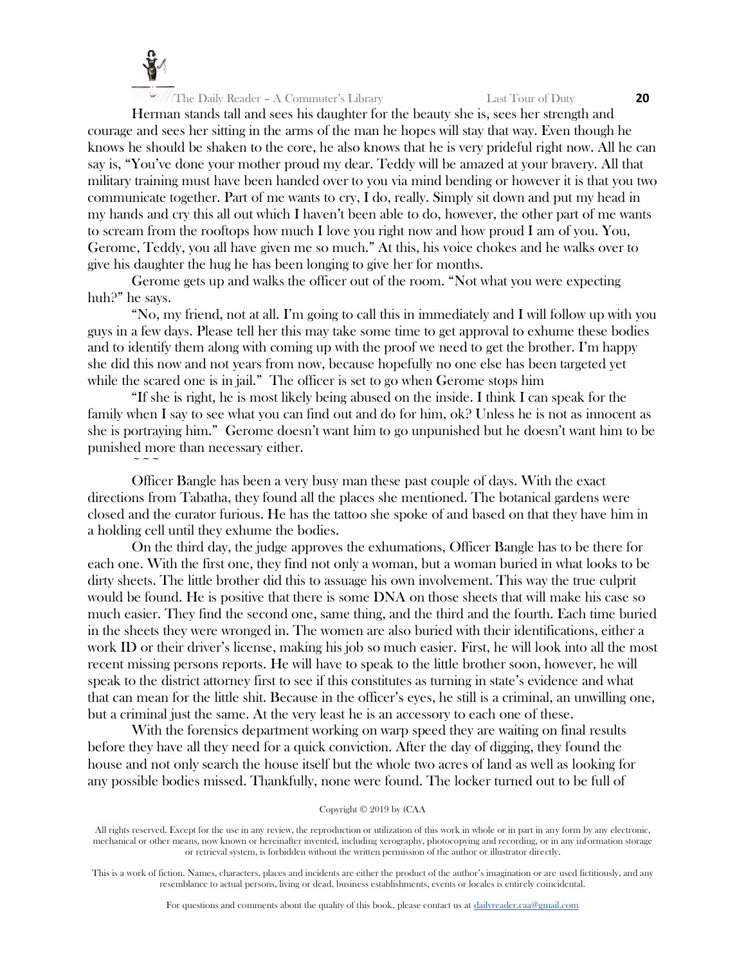

 $\sim$   $\sim$   $\sim$ 

Herman stands tall and sees his daughter for the beauty she is, sees her strength and courage and sees her sitting in the arms of the man he hopes will stay that way. Even though he knows he should be shaken to the core, he also knows that he is very prideful right now. All he can say is, "You've done your mother proud my dear. Teddy will be amazed at your bravery. All that military training must have been handed over to you via mind bending or however it is that you two communicate together. Part of me wants to cry, I do, really. Simply sit down and put my head in my hands and cry this all out which I haven't been able to do, however, the other part of me wants to scream from the rooftops how much I love you right now and how proud I am of you. You, Gerome, Teddy, you all have given me so much." At this, his voice chokes and he walks over to give his daughter the hug he has been longing to give her for months.

Gerome gets up and walks the officer out of the room. "Not what you were expecting huh?" he says.

"No, my friend, not at all. I'm going to call this in immediately and I will follow up with you guys in a few days. Please tell her this may take some time to get approval to exhume these bodies and to identify them along with coming up with the proof we need to get the brother. I'm happy she did this now and not years from now, because hopefully no one else has been targeted yet while the scared one is in jail." The officer is set to go when Gerome stops him

"If she is right, he is most likely being abused on the inside. I think I can speak for the family when I say to see what you can find out and do for him, ok? Unless he is not as innocent as she is portraying him." Gerome doesn't want him to go unpunished but he doesn't want him to be punished more than necessary either.

Officer Bangle has been a very busy man these past couple of days. With the exact directions from Tabatha, they found all the places she mentioned. The botanical gardens were closed and the curator furious. He has the tattoo she spoke of and based on that they have him in a holding cell until they exhume the bodies.

On the third day, the judge approves the exhumations, Officer Bangle has to be there for each one. With the first one, they find not only a woman, but a woman buried in what looks to be dirty sheets. The little brother did this to assuage his own involvement. This way the true culprit would be found. He is positive that there is some DNA on those sheets that will make his case so much easier. They find the second one, same thing, and the third and the fourth. Each time buried in the sheets they were wronged in. The women are also buried with their identifications, either a work ID or their driver's license, making his job so much easier. First, he will look into all the most recent missing persons reports. He will have to speak to the little brother soon, however, he will speak to the district attorney first to see if this constitutes as turning in state's evidence and what that can mean for the little shit. Because in the officer's eyes, he still is a criminal, an unwilling one, but a criminal just the same. At the very least he is an accessory to each one of these.

With the forensics department working on warp speed they are waiting on final results before they have all they need for a quick conviction. After the day of digging, they found the house and not only search the house itself but the whole two acres of land as well as looking for any possible bodies missed. Thankfully, none were found. The locker turned out to be full of

## Copyright © 2019 by (CAA

All rights reserved. Except for the use in any review, the reproduction or utilization of this work in whole or in part in any form by any electronic, mechanical or other means, now known or hereinafter invented, including xerography, photocopying and recording, or in any information storage or retrieval system, is forbidden without the written permission of the author or illustrator directly.

This is a work of fiction. Names, characters, places and incidents are either the product of the author's imagination or are used fictitiously, and any resemblance to actual persons, living or dead, business establishments, events or locales is entirely coincidental.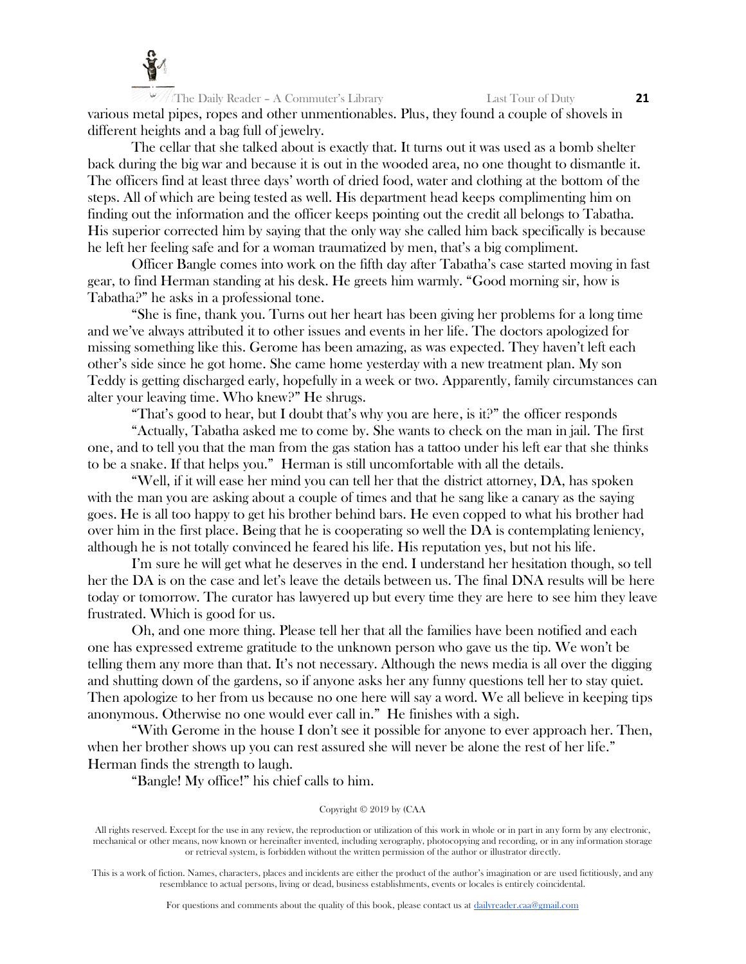

The Daily Reader – A Commuter's Library Last Tour of Duty **21** various metal pipes, ropes and other unmentionables. Plus, they found a couple of shovels in different heights and a bag full of jewelry.

The cellar that she talked about is exactly that. It turns out it was used as a bomb shelter back during the big war and because it is out in the wooded area, no one thought to dismantle it. The officers find at least three days' worth of dried food, water and clothing at the bottom of the steps. All of which are being tested as well. His department head keeps complimenting him on finding out the information and the officer keeps pointing out the credit all belongs to Tabatha. His superior corrected him by saying that the only way she called him back specifically is because he left her feeling safe and for a woman traumatized by men, that's a big compliment.

Officer Bangle comes into work on the fifth day after Tabatha's case started moving in fast gear, to find Herman standing at his desk. He greets him warmly. "Good morning sir, how is Tabatha?" he asks in a professional tone.

"She is fine, thank you. Turns out her heart has been giving her problems for a long time and we've always attributed it to other issues and events in her life. The doctors apologized for missing something like this. Gerome has been amazing, as was expected. They haven't left each other's side since he got home. She came home yesterday with a new treatment plan. My son Teddy is getting discharged early, hopefully in a week or two. Apparently, family circumstances can alter your leaving time. Who knew?" He shrugs.

"That's good to hear, but I doubt that's why you are here, is it?" the officer responds

"Actually, Tabatha asked me to come by. She wants to check on the man in jail. The first one, and to tell you that the man from the gas station has a tattoo under his left ear that she thinks to be a snake. If that helps you." Herman is still uncomfortable with all the details.

"Well, if it will ease her mind you can tell her that the district attorney, DA, has spoken with the man you are asking about a couple of times and that he sang like a canary as the saying goes. He is all too happy to get his brother behind bars. He even copped to what his brother had over him in the first place. Being that he is cooperating so well the DA is contemplating leniency, although he is not totally convinced he feared his life. His reputation yes, but not his life.

I'm sure he will get what he deserves in the end. I understand her hesitation though, so tell her the DA is on the case and let's leave the details between us. The final DNA results will be here today or tomorrow. The curator has lawyered up but every time they are here to see him they leave frustrated. Which is good for us.

Oh, and one more thing. Please tell her that all the families have been notified and each one has expressed extreme gratitude to the unknown person who gave us the tip. We won't be telling them any more than that. It's not necessary. Although the news media is all over the digging and shutting down of the gardens, so if anyone asks her any funny questions tell her to stay quiet. Then apologize to her from us because no one here will say a word. We all believe in keeping tips anonymous. Otherwise no one would ever call in." He finishes with a sigh.

"With Gerome in the house I don't see it possible for anyone to ever approach her. Then, when her brother shows up you can rest assured she will never be alone the rest of her life." Herman finds the strength to laugh.

"Bangle! My office!" his chief calls to him.

#### Copyright © 2019 by (CAA

All rights reserved. Except for the use in any review, the reproduction or utilization of this work in whole or in part in any form by any electronic, mechanical or other means, now known or hereinafter invented, including xerography, photocopying and recording, or in any information storage or retrieval system, is forbidden without the written permission of the author or illustrator directly.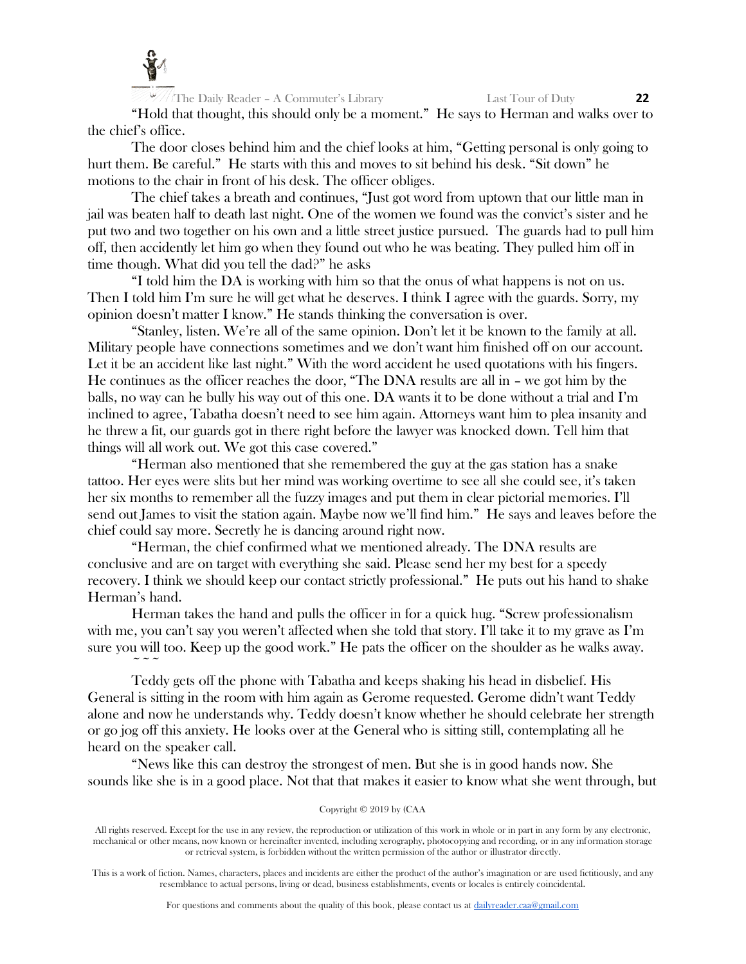

"Hold that thought, this should only be a moment." He says to Herman and walks over to the chief's office.

The door closes behind him and the chief looks at him, "Getting personal is only going to hurt them. Be careful." He starts with this and moves to sit behind his desk. "Sit down" he motions to the chair in front of his desk. The officer obliges.

The chief takes a breath and continues, "Just got word from uptown that our little man in jail was beaten half to death last night. One of the women we found was the convict's sister and he put two and two together on his own and a little street justice pursued. The guards had to pull him off, then accidently let him go when they found out who he was beating. They pulled him off in time though. What did you tell the dad?" he asks

"I told him the DA is working with him so that the onus of what happens is not on us. Then I told him I'm sure he will get what he deserves. I think I agree with the guards. Sorry, my opinion doesn't matter I know." He stands thinking the conversation is over.

"Stanley, listen. We're all of the same opinion. Don't let it be known to the family at all. Military people have connections sometimes and we don't want him finished off on our account. Let it be an accident like last night." With the word accident he used quotations with his fingers. He continues as the officer reaches the door, "The DNA results are all in – we got him by the balls, no way can he bully his way out of this one. DA wants it to be done without a trial and I'm inclined to agree, Tabatha doesn't need to see him again. Attorneys want him to plea insanity and he threw a fit, our guards got in there right before the lawyer was knocked down. Tell him that things will all work out. We got this case covered."

"Herman also mentioned that she remembered the guy at the gas station has a snake tattoo. Her eyes were slits but her mind was working overtime to see all she could see, it's taken her six months to remember all the fuzzy images and put them in clear pictorial memories. I'll send out James to visit the station again. Maybe now we'll find him." He says and leaves before the chief could say more. Secretly he is dancing around right now.

"Herman, the chief confirmed what we mentioned already. The DNA results are conclusive and are on target with everything she said. Please send her my best for a speedy recovery. I think we should keep our contact strictly professional." He puts out his hand to shake Herman's hand.

Herman takes the hand and pulls the officer in for a quick hug. "Screw professionalism with me, you can't say you weren't affected when she told that story. I'll take it to my grave as I'm sure you will too. Keep up the good work." He pats the officer on the shoulder as he walks away.  $\sim$   $\sim$   $\sim$ 

Teddy gets off the phone with Tabatha and keeps shaking his head in disbelief. His General is sitting in the room with him again as Gerome requested. Gerome didn't want Teddy alone and now he understands why. Teddy doesn't know whether he should celebrate her strength or go jog off this anxiety. He looks over at the General who is sitting still, contemplating all he heard on the speaker call.

"News like this can destroy the strongest of men. But she is in good hands now. She sounds like she is in a good place. Not that that makes it easier to know what she went through, but

## Copyright © 2019 by (CAA

All rights reserved. Except for the use in any review, the reproduction or utilization of this work in whole or in part in any form by any electronic, mechanical or other means, now known or hereinafter invented, including xerography, photocopying and recording, or in any information storage or retrieval system, is forbidden without the written permission of the author or illustrator directly.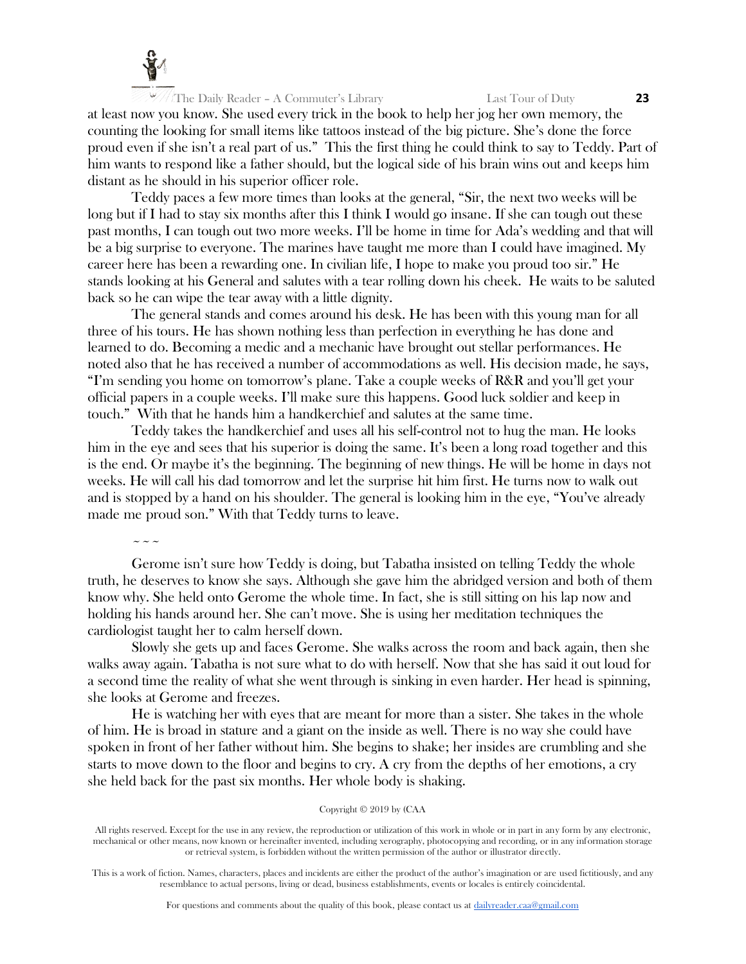

at least now you know. She used every trick in the book to help her jog her own memory, the counting the looking for small items like tattoos instead of the big picture. She's done the force proud even if she isn't a real part of us." This the first thing he could think to say to Teddy. Part of him wants to respond like a father should, but the logical side of his brain wins out and keeps him distant as he should in his superior officer role.

Teddy paces a few more times than looks at the general, "Sir, the next two weeks will be long but if I had to stay six months after this I think I would go insane. If she can tough out these past months, I can tough out two more weeks. I'll be home in time for Ada's wedding and that will be a big surprise to everyone. The marines have taught me more than I could have imagined. My career here has been a rewarding one. In civilian life, I hope to make you proud too sir." He stands looking at his General and salutes with a tear rolling down his cheek. He waits to be saluted back so he can wipe the tear away with a little dignity.

The general stands and comes around his desk. He has been with this young man for all three of his tours. He has shown nothing less than perfection in everything he has done and learned to do. Becoming a medic and a mechanic have brought out stellar performances. He noted also that he has received a number of accommodations as well. His decision made, he says, "I'm sending you home on tomorrow's plane. Take a couple weeks of R&R and you'll get your official papers in a couple weeks. I'll make sure this happens. Good luck soldier and keep in touch." With that he hands him a handkerchief and salutes at the same time.

Teddy takes the handkerchief and uses all his self-control not to hug the man. He looks him in the eye and sees that his superior is doing the same. It's been a long road together and this is the end. Or maybe it's the beginning. The beginning of new things. He will be home in days not weeks. He will call his dad tomorrow and let the surprise hit him first. He turns now to walk out and is stopped by a hand on his shoulder. The general is looking him in the eye, "You've already made me proud son." With that Teddy turns to leave.

 $\sim$   $\sim$   $\sim$ 

Gerome isn't sure how Teddy is doing, but Tabatha insisted on telling Teddy the whole truth, he deserves to know she says. Although she gave him the abridged version and both of them know why. She held onto Gerome the whole time. In fact, she is still sitting on his lap now and holding his hands around her. She can't move. She is using her meditation techniques the cardiologist taught her to calm herself down.

Slowly she gets up and faces Gerome. She walks across the room and back again, then she walks away again. Tabatha is not sure what to do with herself. Now that she has said it out loud for a second time the reality of what she went through is sinking in even harder. Her head is spinning, she looks at Gerome and freezes.

He is watching her with eyes that are meant for more than a sister. She takes in the whole of him. He is broad in stature and a giant on the inside as well. There is no way she could have spoken in front of her father without him. She begins to shake; her insides are crumbling and she starts to move down to the floor and begins to cry. A cry from the depths of her emotions, a cry she held back for the past six months. Her whole body is shaking.

## Copyright © 2019 by (CAA

All rights reserved. Except for the use in any review, the reproduction or utilization of this work in whole or in part in any form by any electronic, mechanical or other means, now known or hereinafter invented, including xerography, photocopying and recording, or in any information storage or retrieval system, is forbidden without the written permission of the author or illustrator directly.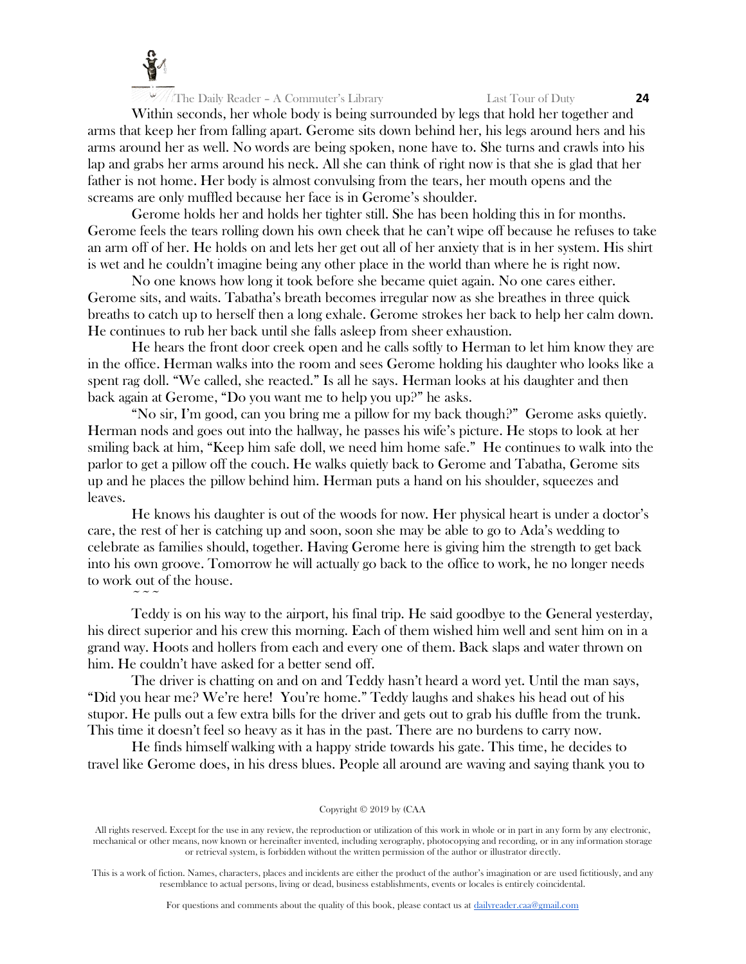

 $\sim$   $\sim$   $\sim$ 

Within seconds, her whole body is being surrounded by legs that hold her together and arms that keep her from falling apart. Gerome sits down behind her, his legs around hers and his arms around her as well. No words are being spoken, none have to. She turns and crawls into his lap and grabs her arms around his neck. All she can think of right now is that she is glad that her father is not home. Her body is almost convulsing from the tears, her mouth opens and the screams are only muffled because her face is in Gerome's shoulder.

Gerome holds her and holds her tighter still. She has been holding this in for months. Gerome feels the tears rolling down his own cheek that he can't wipe off because he refuses to take an arm off of her. He holds on and lets her get out all of her anxiety that is in her system. His shirt is wet and he couldn't imagine being any other place in the world than where he is right now.

No one knows how long it took before she became quiet again. No one cares either. Gerome sits, and waits. Tabatha's breath becomes irregular now as she breathes in three quick breaths to catch up to herself then a long exhale. Gerome strokes her back to help her calm down. He continues to rub her back until she falls asleep from sheer exhaustion.

He hears the front door creek open and he calls softly to Herman to let him know they are in the office. Herman walks into the room and sees Gerome holding his daughter who looks like a spent rag doll. "We called, she reacted." Is all he says. Herman looks at his daughter and then back again at Gerome, "Do you want me to help you up?" he asks.

"No sir, I'm good, can you bring me a pillow for my back though?" Gerome asks quietly. Herman nods and goes out into the hallway, he passes his wife's picture. He stops to look at her smiling back at him, "Keep him safe doll, we need him home safe." He continues to walk into the parlor to get a pillow off the couch. He walks quietly back to Gerome and Tabatha, Gerome sits up and he places the pillow behind him. Herman puts a hand on his shoulder, squeezes and leaves.

He knows his daughter is out of the woods for now. Her physical heart is under a doctor's care, the rest of her is catching up and soon, soon she may be able to go to Ada's wedding to celebrate as families should, together. Having Gerome here is giving him the strength to get back into his own groove. Tomorrow he will actually go back to the office to work, he no longer needs to work out of the house.

Teddy is on his way to the airport, his final trip. He said goodbye to the General yesterday, his direct superior and his crew this morning. Each of them wished him well and sent him on in a grand way. Hoots and hollers from each and every one of them. Back slaps and water thrown on him. He couldn't have asked for a better send off.

The driver is chatting on and on and Teddy hasn't heard a word yet. Until the man says, "Did you hear me? We're here! You're home." Teddy laughs and shakes his head out of his stupor. He pulls out a few extra bills for the driver and gets out to grab his duffle from the trunk. This time it doesn't feel so heavy as it has in the past. There are no burdens to carry now.

He finds himself walking with a happy stride towards his gate. This time, he decides to travel like Gerome does, in his dress blues. People all around are waving and saying thank you to

Copyright © 2019 by (CAA

All rights reserved. Except for the use in any review, the reproduction or utilization of this work in whole or in part in any form by any electronic, mechanical or other means, now known or hereinafter invented, including xerography, photocopying and recording, or in any information storage or retrieval system, is forbidden without the written permission of the author or illustrator directly.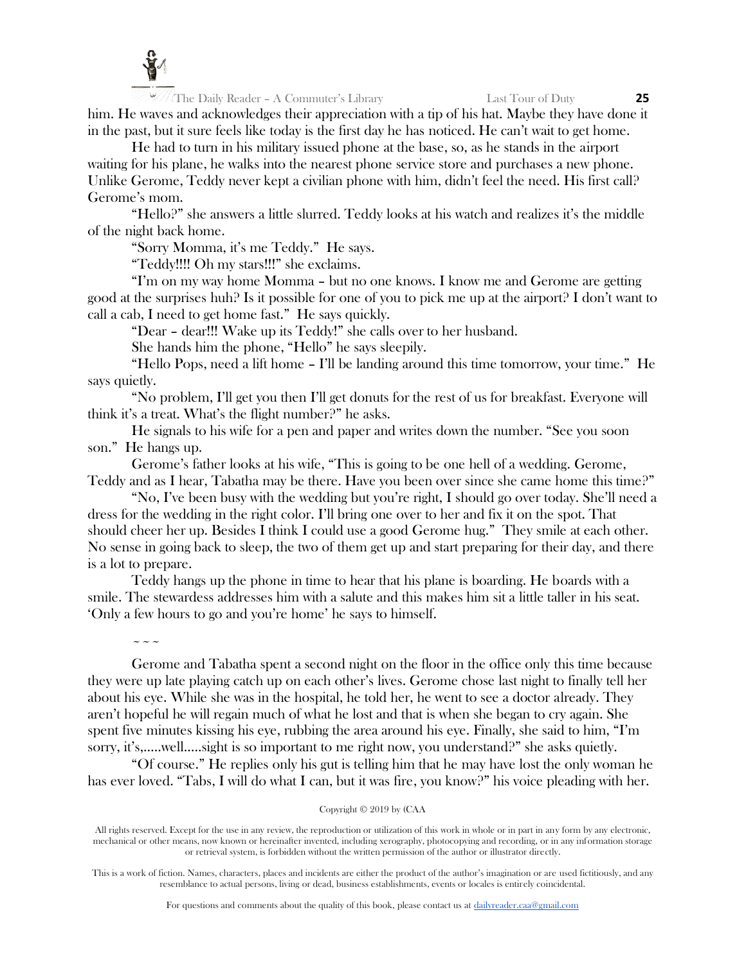

 $\sim$   $\sim$   $\sim$ 

The Daily Reader – A Commuter's Library Last Tour of Duty **25** him. He waves and acknowledges their appreciation with a tip of his hat. Maybe they have done it in the past, but it sure feels like today is the first day he has noticed. He can't wait to get home.

He had to turn in his military issued phone at the base, so, as he stands in the airport waiting for his plane, he walks into the nearest phone service store and purchases a new phone. Unlike Gerome, Teddy never kept a civilian phone with him, didn't feel the need. His first call? Gerome's mom.

"Hello?" she answers a little slurred. Teddy looks at his watch and realizes it's the middle of the night back home.

"Sorry Momma, it's me Teddy." He says.

"Teddy!!!! Oh my stars!!!" she exclaims.

"I'm on my way home Momma – but no one knows. I know me and Gerome are getting good at the surprises huh? Is it possible for one of you to pick me up at the airport? I don't want to call a cab, I need to get home fast." He says quickly.

"Dear – dear!!! Wake up its Teddy!" she calls over to her husband.

She hands him the phone, "Hello" he says sleepily.

"Hello Pops, need a lift home – I'll be landing around this time tomorrow, your time." He says quietly.

"No problem, I'll get you then I'll get donuts for the rest of us for breakfast. Everyone will think it's a treat. What's the flight number?" he asks.

He signals to his wife for a pen and paper and writes down the number. "See you soon son." He hangs up.

Gerome's father looks at his wife, "This is going to be one hell of a wedding. Gerome, Teddy and as I hear, Tabatha may be there. Have you been over since she came home this time?"

"No, I've been busy with the wedding but you're right, I should go over today. She'll need a dress for the wedding in the right color. I'll bring one over to her and fix it on the spot. That should cheer her up. Besides I think I could use a good Gerome hug." They smile at each other. No sense in going back to sleep, the two of them get up and start preparing for their day, and there is a lot to prepare.

Teddy hangs up the phone in time to hear that his plane is boarding. He boards with a smile. The stewardess addresses him with a salute and this makes him sit a little taller in his seat. 'Only a few hours to go and you're home' he says to himself.

Gerome and Tabatha spent a second night on the floor in the office only this time because they were up late playing catch up on each other's lives. Gerome chose last night to finally tell her about his eye. While she was in the hospital, he told her, he went to see a doctor already. They aren't hopeful he will regain much of what he lost and that is when she began to cry again. She spent five minutes kissing his eye, rubbing the area around his eye. Finally, she said to him, "I'm sorry, it's,.....well.....sight is so important to me right now, you understand?" she asks quietly.

"Of course." He replies only his gut is telling him that he may have lost the only woman he has ever loved. "Tabs, I will do what I can, but it was fire, you know?" his voice pleading with her.

Copyright © 2019 by (CAA

All rights reserved. Except for the use in any review, the reproduction or utilization of this work in whole or in part in any form by any electronic, mechanical or other means, now known or hereinafter invented, including xerography, photocopying and recording, or in any information storage or retrieval system, is forbidden without the written permission of the author or illustrator directly.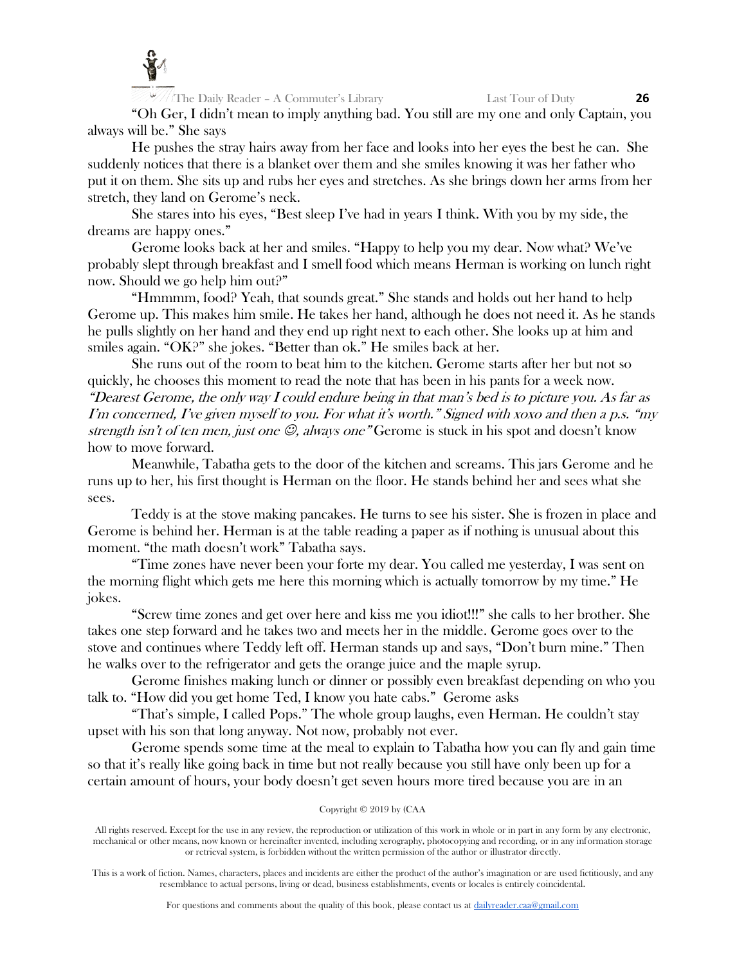

"Oh Ger, I didn't mean to imply anything bad. You still are my one and only Captain, you always will be." She says

He pushes the stray hairs away from her face and looks into her eyes the best he can. She suddenly notices that there is a blanket over them and she smiles knowing it was her father who put it on them. She sits up and rubs her eyes and stretches. As she brings down her arms from her stretch, they land on Gerome's neck.

She stares into his eyes, "Best sleep I've had in years I think. With you by my side, the dreams are happy ones."

Gerome looks back at her and smiles. "Happy to help you my dear. Now what? We've probably slept through breakfast and I smell food which means Herman is working on lunch right now. Should we go help him out?"

"Hmmmm, food? Yeah, that sounds great." She stands and holds out her hand to help Gerome up. This makes him smile. He takes her hand, although he does not need it. As he stands he pulls slightly on her hand and they end up right next to each other. She looks up at him and smiles again. "OK?" she jokes. "Better than ok." He smiles back at her.

She runs out of the room to beat him to the kitchen. Gerome starts after her but not so quickly, he chooses this moment to read the note that has been in his pants for a week now. "Dearest Gerome, the only way I could endure being in that man's bed is to picture you. As far as I'm concerned, I've given myself to you. For what it's worth." Signed with xoxo and then a p.s. "my strength isn't of ten men, just one  $\mathcal{O}$ , always one" Gerome is stuck in his spot and doesn't know how to move forward.

Meanwhile, Tabatha gets to the door of the kitchen and screams. This jars Gerome and he runs up to her, his first thought is Herman on the floor. He stands behind her and sees what she sees.

Teddy is at the stove making pancakes. He turns to see his sister. She is frozen in place and Gerome is behind her. Herman is at the table reading a paper as if nothing is unusual about this moment. "the math doesn't work" Tabatha says.

"Time zones have never been your forte my dear. You called me yesterday, I was sent on the morning flight which gets me here this morning which is actually tomorrow by my time." He jokes.

"Screw time zones and get over here and kiss me you idiot!!!" she calls to her brother. She takes one step forward and he takes two and meets her in the middle. Gerome goes over to the stove and continues where Teddy left off. Herman stands up and says, "Don't burn mine." Then he walks over to the refrigerator and gets the orange juice and the maple syrup.

Gerome finishes making lunch or dinner or possibly even breakfast depending on who you talk to. "How did you get home Ted, I know you hate cabs." Gerome asks

"That's simple, I called Pops." The whole group laughs, even Herman. He couldn't stay upset with his son that long anyway. Not now, probably not ever.

Gerome spends some time at the meal to explain to Tabatha how you can fly and gain time so that it's really like going back in time but not really because you still have only been up for a certain amount of hours, your body doesn't get seven hours more tired because you are in an

# Copyright © 2019 by (CAA

All rights reserved. Except for the use in any review, the reproduction or utilization of this work in whole or in part in any form by any electronic, mechanical or other means, now known or hereinafter invented, including xerography, photocopying and recording, or in any information storage or retrieval system, is forbidden without the written permission of the author or illustrator directly.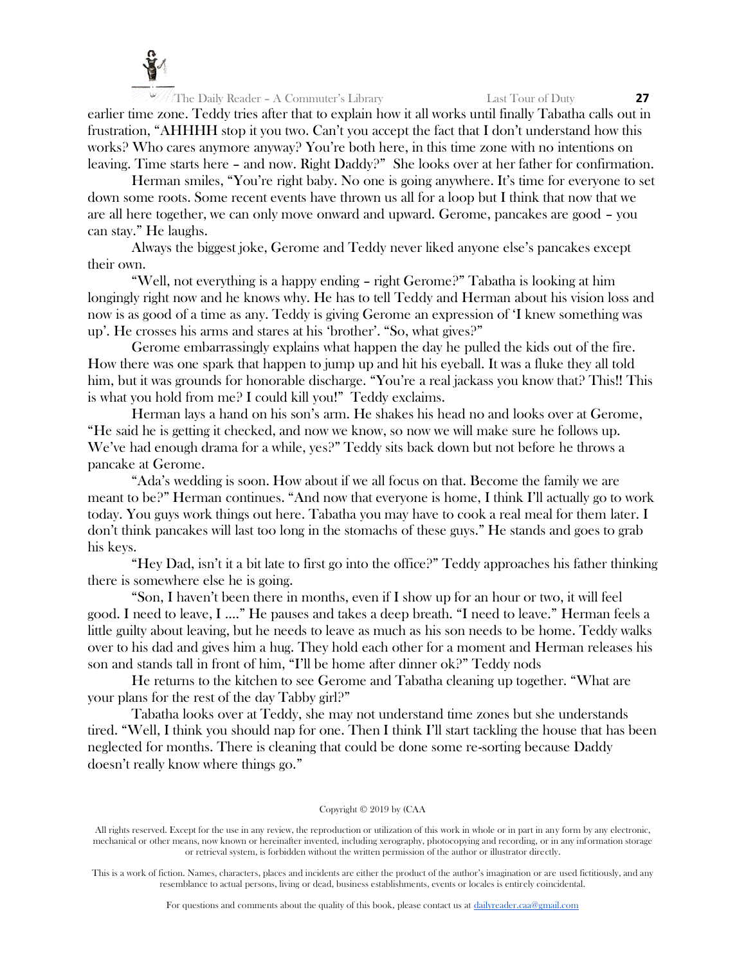

earlier time zone. Teddy tries after that to explain how it all works until finally Tabatha calls out in frustration, "AHHHH stop it you two. Can't you accept the fact that I don't understand how this works? Who cares anymore anyway? You're both here, in this time zone with no intentions on leaving. Time starts here – and now. Right Daddy?" She looks over at her father for confirmation.

Herman smiles, "You're right baby. No one is going anywhere. It's time for everyone to set down some roots. Some recent events have thrown us all for a loop but I think that now that we are all here together, we can only move onward and upward. Gerome, pancakes are good – you can stay." He laughs.

Always the biggest joke, Gerome and Teddy never liked anyone else's pancakes except their own.

"Well, not everything is a happy ending – right Gerome?" Tabatha is looking at him longingly right now and he knows why. He has to tell Teddy and Herman about his vision loss and now is as good of a time as any. Teddy is giving Gerome an expression of 'I knew something was up'. He crosses his arms and stares at his 'brother'. "So, what gives?"

Gerome embarrassingly explains what happen the day he pulled the kids out of the fire. How there was one spark that happen to jump up and hit his eyeball. It was a fluke they all told him, but it was grounds for honorable discharge. "You're a real jackass you know that? This!! This is what you hold from me? I could kill you!" Teddy exclaims.

Herman lays a hand on his son's arm. He shakes his head no and looks over at Gerome, "He said he is getting it checked, and now we know, so now we will make sure he follows up. We've had enough drama for a while, yes?" Teddy sits back down but not before he throws a pancake at Gerome.

"Ada's wedding is soon. How about if we all focus on that. Become the family we are meant to be?" Herman continues. "And now that everyone is home, I think I'll actually go to work today. You guys work things out here. Tabatha you may have to cook a real meal for them later. I don't think pancakes will last too long in the stomachs of these guys." He stands and goes to grab his keys.

"Hey Dad, isn't it a bit late to first go into the office?" Teddy approaches his father thinking there is somewhere else he is going.

"Son, I haven't been there in months, even if I show up for an hour or two, it will feel good. I need to leave, I …." He pauses and takes a deep breath. "I need to leave." Herman feels a little guilty about leaving, but he needs to leave as much as his son needs to be home. Teddy walks over to his dad and gives him a hug. They hold each other for a moment and Herman releases his son and stands tall in front of him, "I'll be home after dinner ok?" Teddy nods

He returns to the kitchen to see Gerome and Tabatha cleaning up together. "What are your plans for the rest of the day Tabby girl?"

Tabatha looks over at Teddy, she may not understand time zones but she understands tired. "Well, I think you should nap for one. Then I think I'll start tackling the house that has been neglected for months. There is cleaning that could be done some re-sorting because Daddy doesn't really know where things go."

# Copyright © 2019 by (CAA

All rights reserved. Except for the use in any review, the reproduction or utilization of this work in whole or in part in any form by any electronic, mechanical or other means, now known or hereinafter invented, including xerography, photocopying and recording, or in any information storage or retrieval system, is forbidden without the written permission of the author or illustrator directly.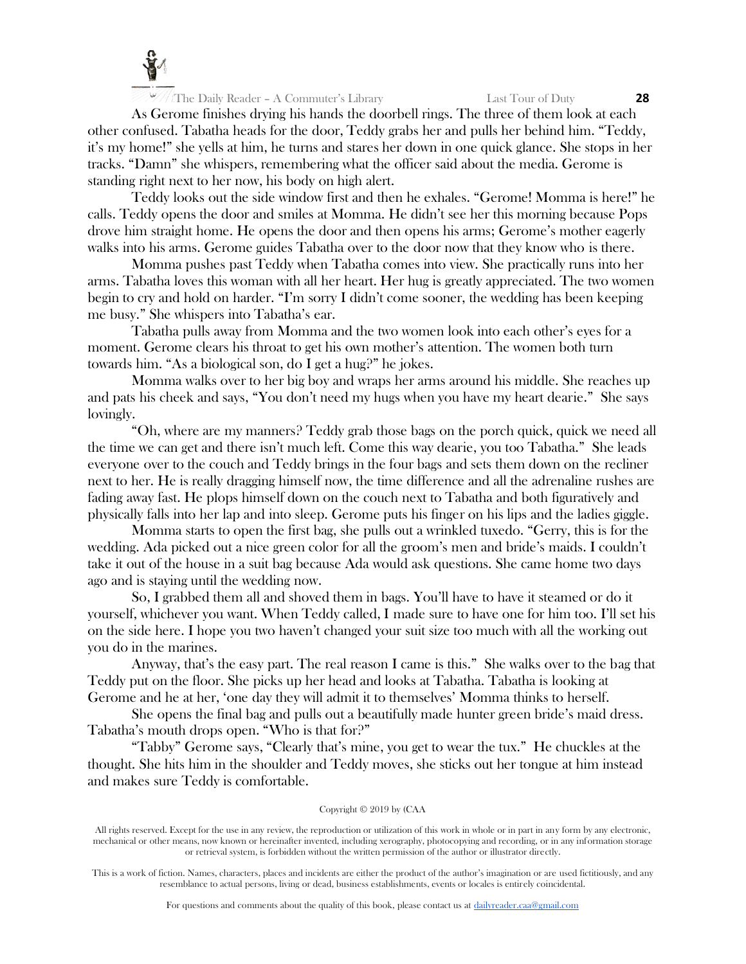

As Gerome finishes drying his hands the doorbell rings. The three of them look at each other confused. Tabatha heads for the door, Teddy grabs her and pulls her behind him. "Teddy, it's my home!" she yells at him, he turns and stares her down in one quick glance. She stops in her tracks. "Damn" she whispers, remembering what the officer said about the media. Gerome is standing right next to her now, his body on high alert.

Teddy looks out the side window first and then he exhales. "Gerome! Momma is here!" he calls. Teddy opens the door and smiles at Momma. He didn't see her this morning because Pops drove him straight home. He opens the door and then opens his arms; Gerome's mother eagerly walks into his arms. Gerome guides Tabatha over to the door now that they know who is there.

Momma pushes past Teddy when Tabatha comes into view. She practically runs into her arms. Tabatha loves this woman with all her heart. Her hug is greatly appreciated. The two women begin to cry and hold on harder. "I'm sorry I didn't come sooner, the wedding has been keeping me busy." She whispers into Tabatha's ear.

Tabatha pulls away from Momma and the two women look into each other's eyes for a moment. Gerome clears his throat to get his own mother's attention. The women both turn towards him. "As a biological son, do I get a hug?" he jokes.

Momma walks over to her big boy and wraps her arms around his middle. She reaches up and pats his cheek and says, "You don't need my hugs when you have my heart dearie." She says lovingly.

"Oh, where are my manners? Teddy grab those bags on the porch quick, quick we need all the time we can get and there isn't much left. Come this way dearie, you too Tabatha." She leads everyone over to the couch and Teddy brings in the four bags and sets them down on the recliner next to her. He is really dragging himself now, the time difference and all the adrenaline rushes are fading away fast. He plops himself down on the couch next to Tabatha and both figuratively and physically falls into her lap and into sleep. Gerome puts his finger on his lips and the ladies giggle.

Momma starts to open the first bag, she pulls out a wrinkled tuxedo. "Gerry, this is for the wedding. Ada picked out a nice green color for all the groom's men and bride's maids. I couldn't take it out of the house in a suit bag because Ada would ask questions. She came home two days ago and is staying until the wedding now.

So, I grabbed them all and shoved them in bags. You'll have to have it steamed or do it yourself, whichever you want. When Teddy called, I made sure to have one for him too. I'll set his on the side here. I hope you two haven't changed your suit size too much with all the working out you do in the marines.

Anyway, that's the easy part. The real reason I came is this." She walks over to the bag that Teddy put on the floor. She picks up her head and looks at Tabatha. Tabatha is looking at Gerome and he at her, 'one day they will admit it to themselves' Momma thinks to herself.

She opens the final bag and pulls out a beautifully made hunter green bride's maid dress. Tabatha's mouth drops open. "Who is that for?"

"Tabby" Gerome says, "Clearly that's mine, you get to wear the tux." He chuckles at the thought. She hits him in the shoulder and Teddy moves, she sticks out her tongue at him instead and makes sure Teddy is comfortable.

# Copyright © 2019 by (CAA

All rights reserved. Except for the use in any review, the reproduction or utilization of this work in whole or in part in any form by any electronic, mechanical or other means, now known or hereinafter invented, including xerography, photocopying and recording, or in any information storage or retrieval system, is forbidden without the written permission of the author or illustrator directly.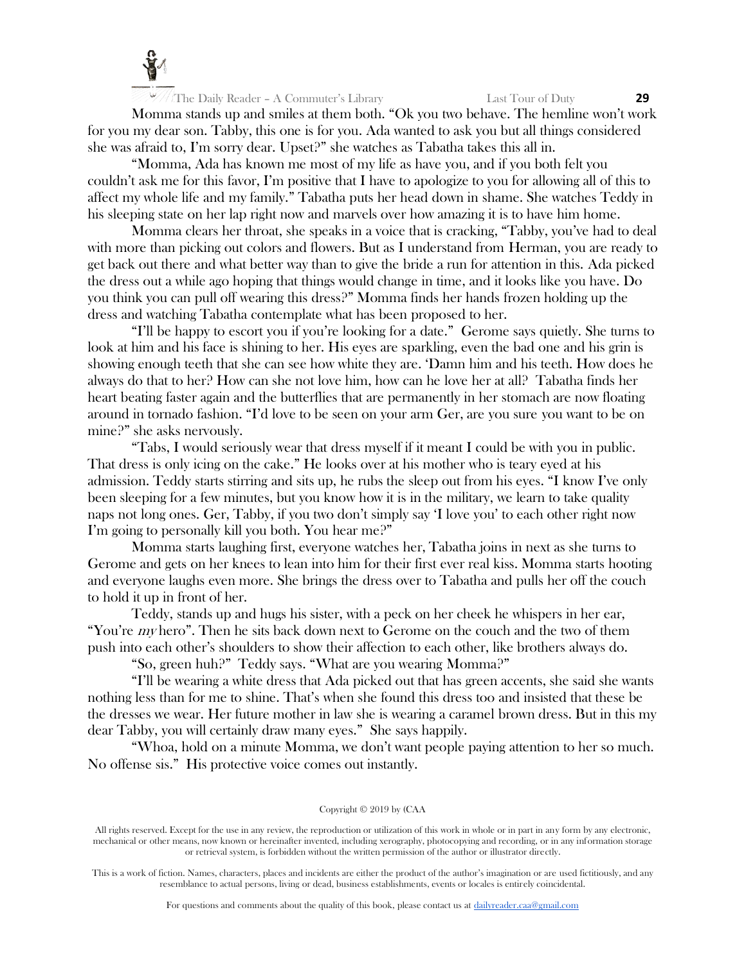

Momma stands up and smiles at them both. "Ok you two behave. The hemline won't work for you my dear son. Tabby, this one is for you. Ada wanted to ask you but all things considered she was afraid to, I'm sorry dear. Upset?" she watches as Tabatha takes this all in.

"Momma, Ada has known me most of my life as have you, and if you both felt you couldn't ask me for this favor, I'm positive that I have to apologize to you for allowing all of this to affect my whole life and my family." Tabatha puts her head down in shame. She watches Teddy in his sleeping state on her lap right now and marvels over how amazing it is to have him home.

Momma clears her throat, she speaks in a voice that is cracking, "Tabby, you've had to deal with more than picking out colors and flowers. But as I understand from Herman, you are ready to get back out there and what better way than to give the bride a run for attention in this. Ada picked the dress out a while ago hoping that things would change in time, and it looks like you have. Do you think you can pull off wearing this dress?" Momma finds her hands frozen holding up the dress and watching Tabatha contemplate what has been proposed to her.

"I'll be happy to escort you if you're looking for a date." Gerome says quietly. She turns to look at him and his face is shining to her. His eyes are sparkling, even the bad one and his grin is showing enough teeth that she can see how white they are. 'Damn him and his teeth. How does he always do that to her? How can she not love him, how can he love her at all? Tabatha finds her heart beating faster again and the butterflies that are permanently in her stomach are now floating around in tornado fashion. "I'd love to be seen on your arm Ger, are you sure you want to be on mine?" she asks nervously.

"Tabs, I would seriously wear that dress myself if it meant I could be with you in public. That dress is only icing on the cake." He looks over at his mother who is teary eyed at his admission. Teddy starts stirring and sits up, he rubs the sleep out from his eyes. "I know I've only been sleeping for a few minutes, but you know how it is in the military, we learn to take quality naps not long ones. Ger, Tabby, if you two don't simply say 'I love you' to each other right now I'm going to personally kill you both. You hear me?"

Momma starts laughing first, everyone watches her, Tabatha joins in next as she turns to Gerome and gets on her knees to lean into him for their first ever real kiss. Momma starts hooting and everyone laughs even more. She brings the dress over to Tabatha and pulls her off the couch to hold it up in front of her.

Teddy, stands up and hugs his sister, with a peck on her cheek he whispers in her ear, "You're *my* hero". Then he sits back down next to Gerome on the couch and the two of them push into each other's shoulders to show their affection to each other, like brothers always do.

"So, green huh?" Teddy says. "What are you wearing Momma?"

"I'll be wearing a white dress that Ada picked out that has green accents, she said she wants nothing less than for me to shine. That's when she found this dress too and insisted that these be the dresses we wear. Her future mother in law she is wearing a caramel brown dress. But in this my dear Tabby, you will certainly draw many eyes." She says happily.

"Whoa, hold on a minute Momma, we don't want people paying attention to her so much. No offense sis." His protective voice comes out instantly.

# Copyright © 2019 by (CAA

All rights reserved. Except for the use in any review, the reproduction or utilization of this work in whole or in part in any form by any electronic, mechanical or other means, now known or hereinafter invented, including xerography, photocopying and recording, or in any information storage or retrieval system, is forbidden without the written permission of the author or illustrator directly.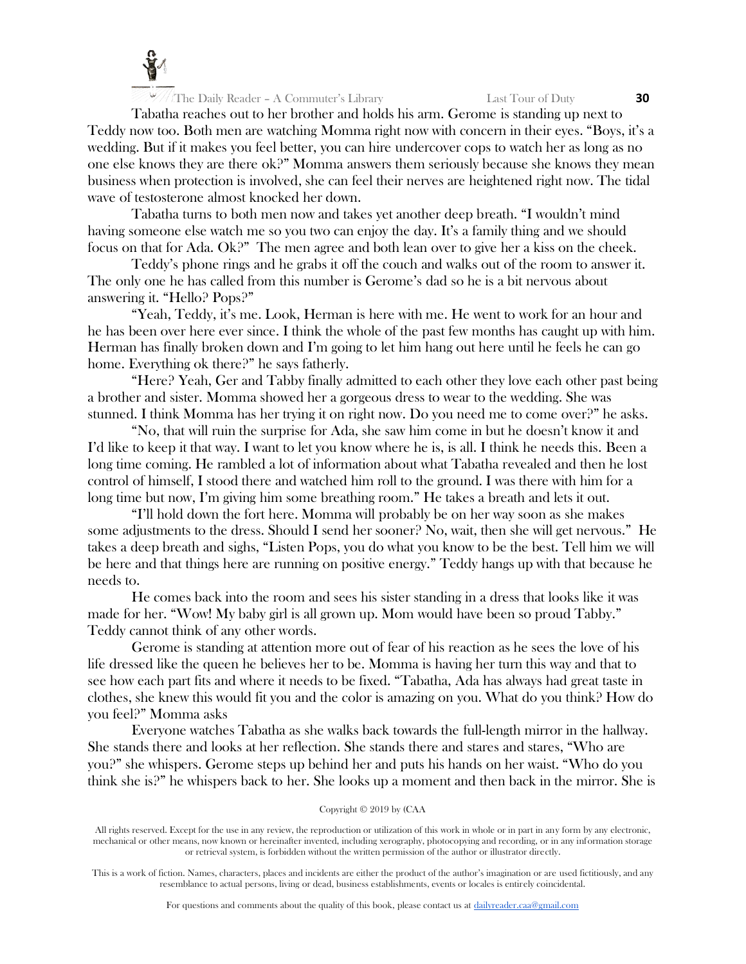

Tabatha reaches out to her brother and holds his arm. Gerome is standing up next to Teddy now too. Both men are watching Momma right now with concern in their eyes. "Boys, it's a wedding. But if it makes you feel better, you can hire undercover cops to watch her as long as no one else knows they are there ok?" Momma answers them seriously because she knows they mean business when protection is involved, she can feel their nerves are heightened right now. The tidal wave of testosterone almost knocked her down.

Tabatha turns to both men now and takes yet another deep breath. "I wouldn't mind having someone else watch me so you two can enjoy the day. It's a family thing and we should focus on that for Ada. Ok?" The men agree and both lean over to give her a kiss on the cheek.

Teddy's phone rings and he grabs it off the couch and walks out of the room to answer it. The only one he has called from this number is Gerome's dad so he is a bit nervous about answering it. "Hello? Pops?"

"Yeah, Teddy, it's me. Look, Herman is here with me. He went to work for an hour and he has been over here ever since. I think the whole of the past few months has caught up with him. Herman has finally broken down and I'm going to let him hang out here until he feels he can go home. Everything ok there?" he says fatherly.

"Here? Yeah, Ger and Tabby finally admitted to each other they love each other past being a brother and sister. Momma showed her a gorgeous dress to wear to the wedding. She was stunned. I think Momma has her trying it on right now. Do you need me to come over?" he asks.

"No, that will ruin the surprise for Ada, she saw him come in but he doesn't know it and I'd like to keep it that way. I want to let you know where he is, is all. I think he needs this. Been a long time coming. He rambled a lot of information about what Tabatha revealed and then he lost control of himself, I stood there and watched him roll to the ground. I was there with him for a long time but now, I'm giving him some breathing room." He takes a breath and lets it out.

"I'll hold down the fort here. Momma will probably be on her way soon as she makes some adjustments to the dress. Should I send her sooner? No, wait, then she will get nervous." He takes a deep breath and sighs, "Listen Pops, you do what you know to be the best. Tell him we will be here and that things here are running on positive energy." Teddy hangs up with that because he needs to.

He comes back into the room and sees his sister standing in a dress that looks like it was made for her. "Wow! My baby girl is all grown up. Mom would have been so proud Tabby." Teddy cannot think of any other words.

Gerome is standing at attention more out of fear of his reaction as he sees the love of his life dressed like the queen he believes her to be. Momma is having her turn this way and that to see how each part fits and where it needs to be fixed. "Tabatha, Ada has always had great taste in clothes, she knew this would fit you and the color is amazing on you. What do you think? How do you feel?" Momma asks

Everyone watches Tabatha as she walks back towards the full-length mirror in the hallway. She stands there and looks at her reflection. She stands there and stares and stares, "Who are you?" she whispers. Gerome steps up behind her and puts his hands on her waist. "Who do you think she is?" he whispers back to her. She looks up a moment and then back in the mirror. She is

#### Copyright © 2019 by (CAA

All rights reserved. Except for the use in any review, the reproduction or utilization of this work in whole or in part in any form by any electronic, mechanical or other means, now known or hereinafter invented, including xerography, photocopying and recording, or in any information storage or retrieval system, is forbidden without the written permission of the author or illustrator directly.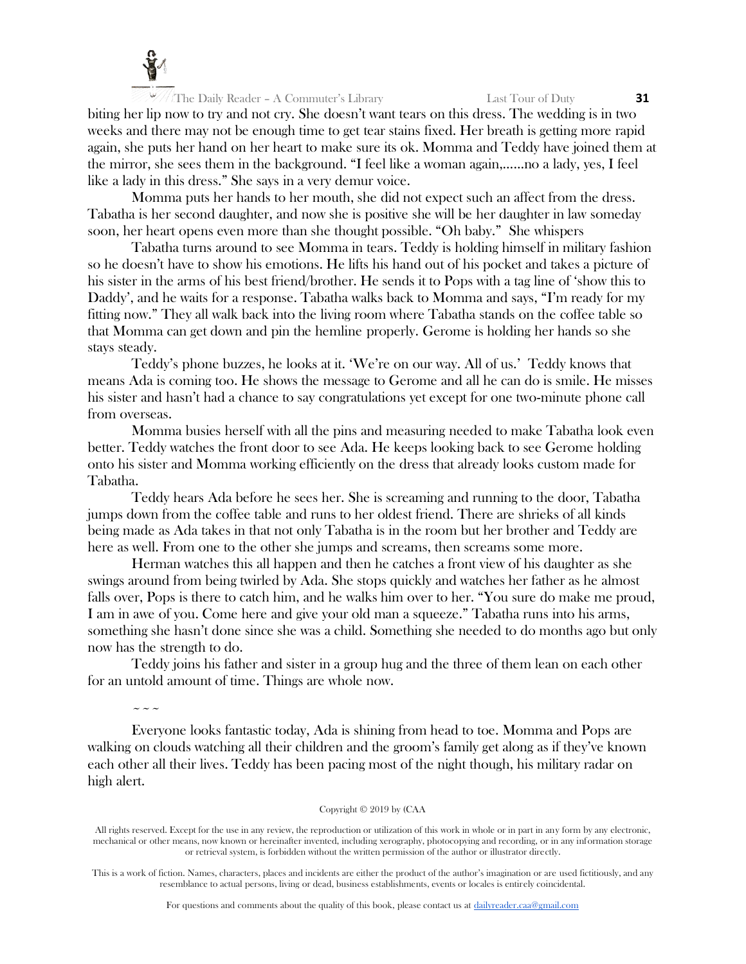

biting her lip now to try and not cry. She doesn't want tears on this dress. The wedding is in two weeks and there may not be enough time to get tear stains fixed. Her breath is getting more rapid again, she puts her hand on her heart to make sure its ok. Momma and Teddy have joined them at the mirror, she sees them in the background. "I feel like a woman again,……no a lady, yes, I feel like a lady in this dress." She says in a very demur voice.

Momma puts her hands to her mouth, she did not expect such an affect from the dress. Tabatha is her second daughter, and now she is positive she will be her daughter in law someday soon, her heart opens even more than she thought possible. "Oh baby." She whispers

Tabatha turns around to see Momma in tears. Teddy is holding himself in military fashion so he doesn't have to show his emotions. He lifts his hand out of his pocket and takes a picture of his sister in the arms of his best friend/brother. He sends it to Pops with a tag line of 'show this to Daddy', and he waits for a response. Tabatha walks back to Momma and says, "I'm ready for my fitting now." They all walk back into the living room where Tabatha stands on the coffee table so that Momma can get down and pin the hemline properly. Gerome is holding her hands so she stays steady.

Teddy's phone buzzes, he looks at it. 'We're on our way. All of us.' Teddy knows that means Ada is coming too. He shows the message to Gerome and all he can do is smile. He misses his sister and hasn't had a chance to say congratulations yet except for one two-minute phone call from overseas.

Momma busies herself with all the pins and measuring needed to make Tabatha look even better. Teddy watches the front door to see Ada. He keeps looking back to see Gerome holding onto his sister and Momma working efficiently on the dress that already looks custom made for Tabatha.

Teddy hears Ada before he sees her. She is screaming and running to the door, Tabatha jumps down from the coffee table and runs to her oldest friend. There are shrieks of all kinds being made as Ada takes in that not only Tabatha is in the room but her brother and Teddy are here as well. From one to the other she jumps and screams, then screams some more.

Herman watches this all happen and then he catches a front view of his daughter as she swings around from being twirled by Ada. She stops quickly and watches her father as he almost falls over, Pops is there to catch him, and he walks him over to her. "You sure do make me proud, I am in awe of you. Come here and give your old man a squeeze." Tabatha runs into his arms, something she hasn't done since she was a child. Something she needed to do months ago but only now has the strength to do.

Teddy joins his father and sister in a group hug and the three of them lean on each other for an untold amount of time. Things are whole now.

 $\sim$   $\sim$   $\sim$ 

Everyone looks fantastic today, Ada is shining from head to toe. Momma and Pops are walking on clouds watching all their children and the groom's family get along as if they've known each other all their lives. Teddy has been pacing most of the night though, his military radar on high alert.

## Copyright © 2019 by (CAA

All rights reserved. Except for the use in any review, the reproduction or utilization of this work in whole or in part in any form by any electronic, mechanical or other means, now known or hereinafter invented, including xerography, photocopying and recording, or in any information storage or retrieval system, is forbidden without the written permission of the author or illustrator directly.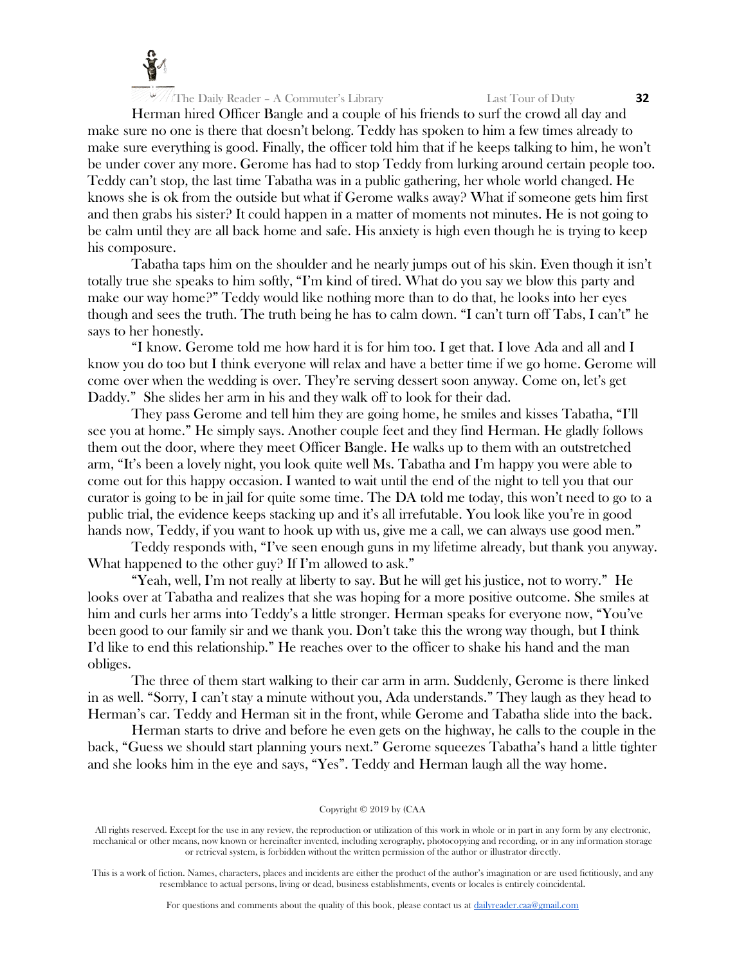

Herman hired Officer Bangle and a couple of his friends to surf the crowd all day and make sure no one is there that doesn't belong. Teddy has spoken to him a few times already to make sure everything is good. Finally, the officer told him that if he keeps talking to him, he won't be under cover any more. Gerome has had to stop Teddy from lurking around certain people too. Teddy can't stop, the last time Tabatha was in a public gathering, her whole world changed. He knows she is ok from the outside but what if Gerome walks away? What if someone gets him first and then grabs his sister? It could happen in a matter of moments not minutes. He is not going to be calm until they are all back home and safe. His anxiety is high even though he is trying to keep his composure.

Tabatha taps him on the shoulder and he nearly jumps out of his skin. Even though it isn't totally true she speaks to him softly, "I'm kind of tired. What do you say we blow this party and make our way home?" Teddy would like nothing more than to do that, he looks into her eyes though and sees the truth. The truth being he has to calm down. "I can't turn off Tabs, I can't" he says to her honestly.

"I know. Gerome told me how hard it is for him too. I get that. I love Ada and all and I know you do too but I think everyone will relax and have a better time if we go home. Gerome will come over when the wedding is over. They're serving dessert soon anyway. Come on, let's get Daddy." She slides her arm in his and they walk off to look for their dad.

They pass Gerome and tell him they are going home, he smiles and kisses Tabatha, "I'll see you at home." He simply says. Another couple feet and they find Herman. He gladly follows them out the door, where they meet Officer Bangle. He walks up to them with an outstretched arm, "It's been a lovely night, you look quite well Ms. Tabatha and I'm happy you were able to come out for this happy occasion. I wanted to wait until the end of the night to tell you that our curator is going to be in jail for quite some time. The DA told me today, this won't need to go to a public trial, the evidence keeps stacking up and it's all irrefutable. You look like you're in good hands now, Teddy, if you want to hook up with us, give me a call, we can always use good men."

Teddy responds with, "I've seen enough guns in my lifetime already, but thank you anyway. What happened to the other guy? If I'm allowed to ask."

"Yeah, well, I'm not really at liberty to say. But he will get his justice, not to worry." He looks over at Tabatha and realizes that she was hoping for a more positive outcome. She smiles at him and curls her arms into Teddy's a little stronger. Herman speaks for everyone now, "You've been good to our family sir and we thank you. Don't take this the wrong way though, but I think I'd like to end this relationship." He reaches over to the officer to shake his hand and the man obliges.

The three of them start walking to their car arm in arm. Suddenly, Gerome is there linked in as well. "Sorry, I can't stay a minute without you, Ada understands." They laugh as they head to Herman's car. Teddy and Herman sit in the front, while Gerome and Tabatha slide into the back.

Herman starts to drive and before he even gets on the highway, he calls to the couple in the back, "Guess we should start planning yours next." Gerome squeezes Tabatha's hand a little tighter and she looks him in the eye and says, "Yes". Teddy and Herman laugh all the way home.

#### Copyright © 2019 by (CAA

All rights reserved. Except for the use in any review, the reproduction or utilization of this work in whole or in part in any form by any electronic, mechanical or other means, now known or hereinafter invented, including xerography, photocopying and recording, or in any information storage or retrieval system, is forbidden without the written permission of the author or illustrator directly.